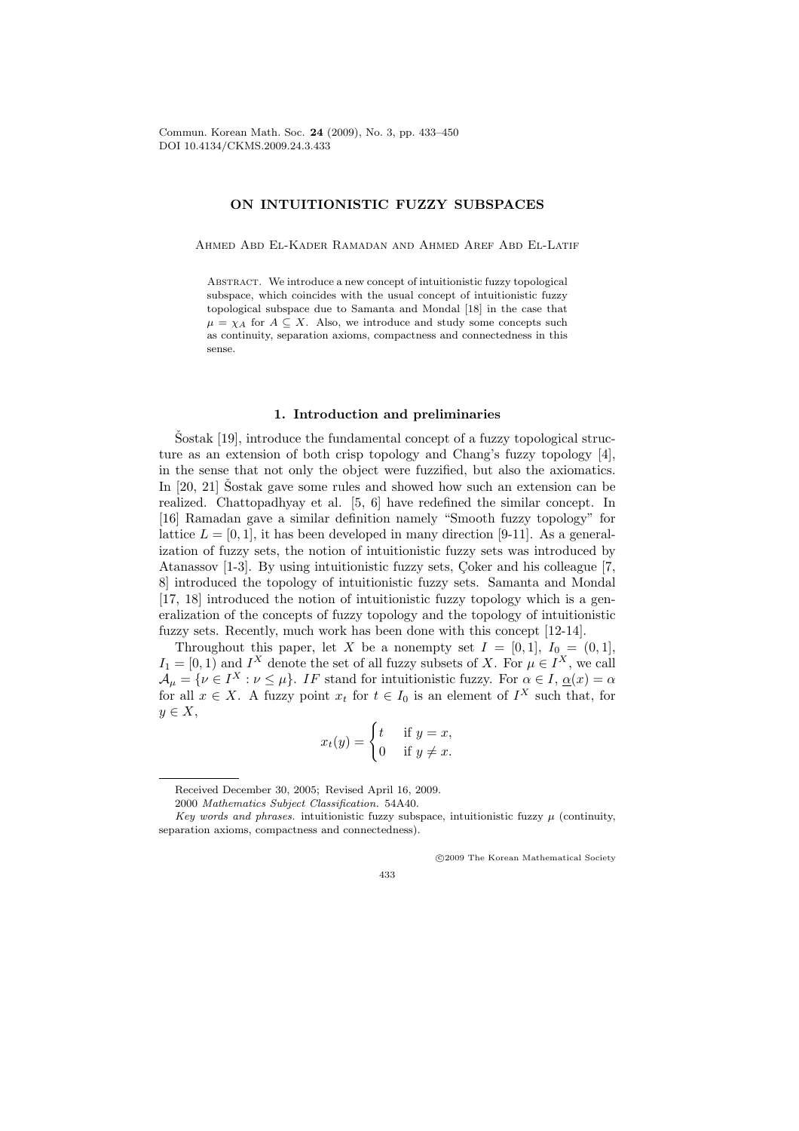## ON INTUITIONISTIC FUZZY SUBSPACES

Ahmed Abd El-Kader Ramadan and Ahmed Aref Abd El-Latif

Abstract. We introduce a new concept of intuitionistic fuzzy topological subspace, which coincides with the usual concept of intuitionistic fuzzy topological subspace due to Samanta and Mondal [18] in the case that  $\mu = \chi_A$  for  $A \subseteq X$ . Also, we introduce and study some concepts such as continuity, separation axioms, compactness and connectedness in this sense.

### 1. Introduction and preliminaries

 $\text{Sostak } [19]$ , introduce the fundamental concept of a fuzzy topological structure as an extension of both crisp topology and Chang's fuzzy topology [4], in the sense that not only the object were fuzzified, but also the axiomatics. In  $[20, 21]$  Sostak gave some rules and showed how such an extension can be realized. Chattopadhyay et al. [5, 6] have redefined the similar concept. In [16] Ramadan gave a similar definition namely "Smooth fuzzy topology" for lattice  $L = [0, 1]$ , it has been developed in many direction [9-11]. As a generalization of fuzzy sets, the notion of intuitionistic fuzzy sets was introduced by Atanassov [1-3]. By using intuitionistic fuzzy sets, Coker and his colleague [7, 8] introduced the topology of intuitionistic fuzzy sets. Samanta and Mondal [17, 18] introduced the notion of intuitionistic fuzzy topology which is a generalization of the concepts of fuzzy topology and the topology of intuitionistic fuzzy sets. Recently, much work has been done with this concept [12-14].

Throughout this paper, let X be a nonempty set  $I = [0, 1], I_0 = (0, 1],$  $I_1 = [0, 1)$  and  $I^X$  denote the set of all fuzzy subsets of X. For  $\mu \in I^X$ , we call  $\mathcal{A}_{\mu} = \{ \nu \in I^X : \nu \leq \mu \}.$  IF stand for intuitionistic fuzzy. For  $\alpha \in I$ ,  $\underline{\alpha}(x) = \alpha$ for all  $x \in X$ . A fuzzy point  $x_t$  for  $t \in I_0$  is an element of  $I^X$  such that, for  $y \in X$ ,

$$
x_t(y) = \begin{cases} t & \text{if } y = x, \\ 0 & \text{if } y \neq x. \end{cases}
$$

°c 2009 The Korean Mathematical Society

Received December 30, 2005; Revised April 16, 2009.

<sup>2000</sup> Mathematics Subject Classification. 54A40.

Key words and phrases. intuitionistic fuzzy subspace, intuitionistic fuzzy  $\mu$  (continuity, separation axioms, compactness and connectedness).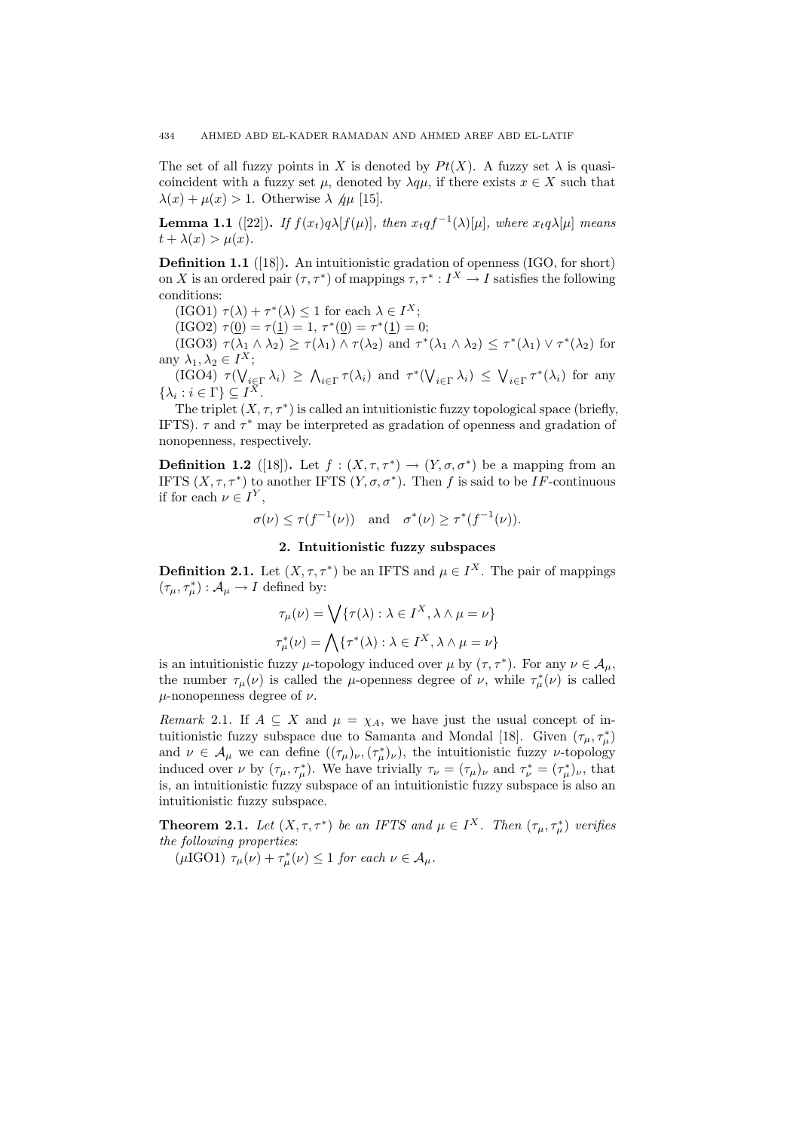The set of all fuzzy points in X is denoted by  $Pt(X)$ . A fuzzy set  $\lambda$  is quasicoincident with a fuzzy set  $\mu$ , denoted by  $\lambda q\mu$ , if there exists  $x \in X$  such that  $\lambda(x) + \mu(x) > 1$ . Otherwise  $\lambda \varphi \mu$  [15].

**Lemma 1.1** ([22]). If  $f(x_t)q\lambda[f(\mu)]$ , then  $x_tqf^{-1}(\lambda)[\mu]$ , where  $x_tq\lambda[\mu]$  means  $t + \lambda(x) > \mu(x)$ .

Definition 1.1 ([18]). An intuitionistic gradation of openness (IGO, for short) on X is an ordered pair  $(\tau, \tau^*)$  of mappings  $\tau, \tau^* : I^X \to I$  satisfies the following conditions:

 $(\text{IGO1}) \ \tau(\lambda) + \tau^*(\lambda) \leq 1 \text{ for each } \lambda \in I^X;$ 

 $(\text{IGO2}) \ \tau(0) = \tau(1) = 1, \ \tau^*(0) = \tau^*(1) = 0;$ 

(IGO3)  $\tau(\lambda_1 \wedge \lambda_2) \geq \tau(\lambda_1) \wedge \tau(\lambda_2)$  and  $\tau^*(\lambda_1 \wedge \lambda_2) \leq \tau^*(\lambda_1) \vee \tau^*(\lambda_2)$  for any  $\lambda_1, \lambda_2 \in I^X$ ;

 $\begin{array}{l}\n\sqrt{2} & \lambda_1, \lambda_2 \in I^{\cdot\cdot} \\
\text{(IGO4)} & \tau(\sqrt{2})\n\end{array}$  $\sum_{i\in\Gamma}^{\mathbf{r}}\lambda_i)\,\geq\,\bigwedge$  $\sum_{i\in\Gamma}\tau(\lambda_i)$  and  $\tau^*(\bigvee$  $\lambda_{i\in\Gamma}\lambda_i) \leq \bigvee$  $_{i\in\Gamma}\tau^*(\lambda_i)$  for any  $\{\lambda_i : i \in \Gamma\} \subseteq I^X.$ 

The triplet  $(X, \tau, \tau^*)$  is called an intuitionistic fuzzy topological space (briefly, IFTS).  $\tau$  and  $\tau^*$  may be interpreted as gradation of openness and gradation of nonopenness, respectively.

**Definition 1.2** ([18]). Let  $f: (X, \tau, \tau^*) \to (Y, \sigma, \sigma^*)$  be a mapping from an IFTS  $(X, \tau, \tau^*)$  to another IFTS  $(Y, \sigma, \sigma^*)$ . Then f is said to be IF-continuous if for each  $\nu \in I^Y$ ,

$$
\sigma(\nu) \leq \tau(f^{-1}(\nu))
$$
 and  $\sigma^*(\nu) \geq \tau^*(f^{-1}(\nu)).$ 

### 2. Intuitionistic fuzzy subspaces

**Definition 2.1.** Let  $(X, \tau, \tau^*)$  be an IFTS and  $\mu \in I^X$ . The pair of mappings  $(\tau_{\mu}, \tau_{\mu}^{*}): \mathcal{A}_{\mu} \to I$  defined by:

$$
\tau_{\mu}(\nu) = \bigvee \{\tau(\lambda) : \lambda \in I^X, \lambda \wedge \mu = \nu\}
$$

$$
\tau_{\mu}^*(\nu) = \bigwedge \{\tau^*(\lambda) : \lambda \in I^X, \lambda \wedge \mu = \nu\}
$$

is an intuitionistic fuzzy  $\mu$ -topology induced over  $\mu$  by  $(\tau, \tau^*)$ . For any  $\nu \in A_{\mu}$ , the number  $\tau_{\mu}(\nu)$  is called the  $\mu$ -openness degree of  $\nu$ , while  $\tau_{\mu}^{*}(\nu)$  is called  $\mu$ -nonopenness degree of  $\nu$ .

Remark 2.1. If  $A \subseteq X$  and  $\mu = \chi_A$ , we have just the usual concept of intuitionistic fuzzy subspace due to Samanta and Mondal [18]. Given  $(\tau_{\mu}, \tau_{\mu}^{*})$ and  $\nu \in A_\mu$  we can define  $((\tau_\mu)_\nu, (\tau_\mu^*)_\nu)$ , the intuitionistic fuzzy  $\nu$ -topology induced over  $\nu$  by  $(\tau_{\mu}, \tau_{\mu}^{*})$ . We have trivially  $\tau_{\nu} = (\tau_{\mu})_{\nu}$  and  $\tau_{\nu}^{*} = (\tau_{\mu}^{*})_{\nu}$ , that is, an intuitionistic fuzzy subspace of an intuitionistic fuzzy subspace is also an intuitionistic fuzzy subspace.

**Theorem 2.1.** Let  $(X, \tau, \tau^*)$  be an IFTS and  $\mu \in I^X$ . Then  $(\tau_{\mu}, \tau_{\mu}^*)$  verifies the following properties:

( $\mu$ IGO1)  $\tau_{\mu}(\nu) + \tau_{\mu}^{*}(\nu) \leq 1$  for each  $\nu \in A_{\mu}$ .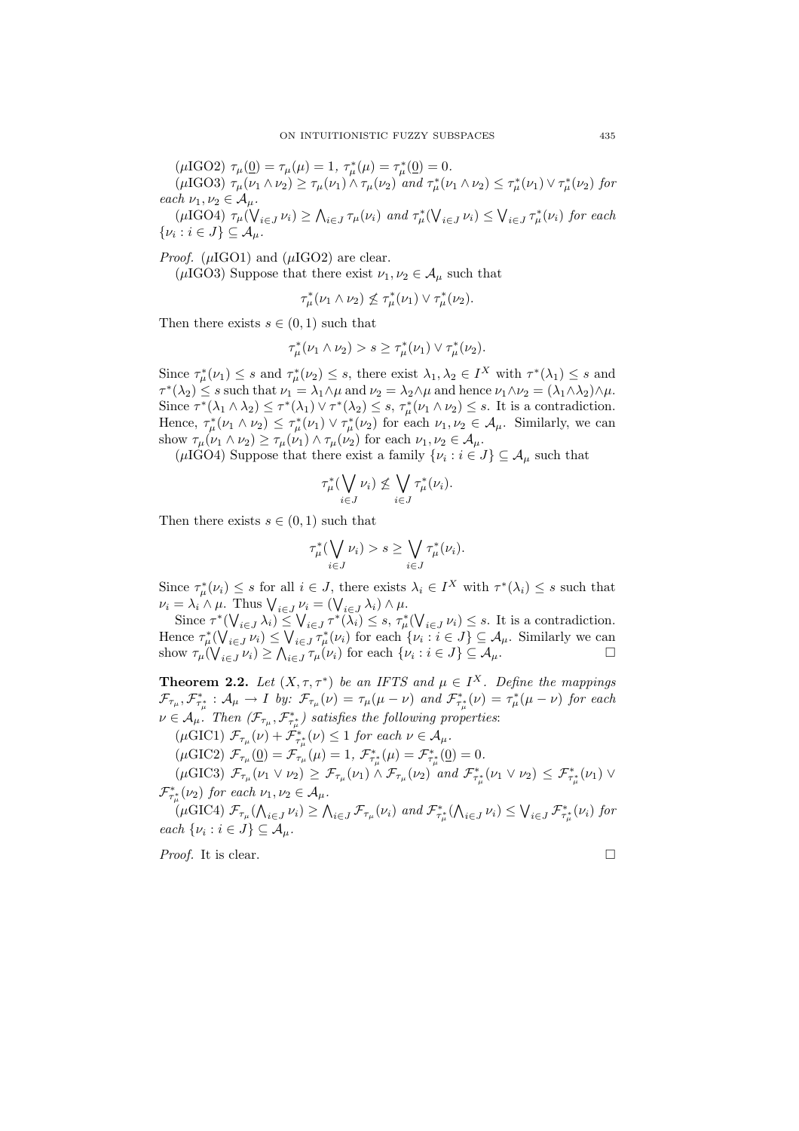( $\mu$ IGO2)  $\tau_{\mu}(\underline{0}) = \tau_{\mu}(\mu) = 1, \ \tau_{\mu}^{*}(\mu) = \tau_{\mu}^{*}(\underline{0}) = 0.$ ( $\mu$ IGO3)  $\tau_{\mu}(\nu_1 \wedge \nu_2) \ge \tau_{\mu}(\nu_1) \wedge \tau_{\mu}(\nu_2)$  and  $\tau_{\mu}^*(\nu_1 \wedge \nu_2) \le \tau_{\mu}^*(\nu_1) \vee \tau_{\mu}^*(\nu_2)$  for each  $\nu_1, \nu_2 \in A_\mu$ .  $\mu$   $\nu_1, \nu_2 \in A_\mu$ .<br>( $\mu$ IGO4)  $\tau_\mu$ ( $\sqrt{\frac{\mu_1}{\mu_2}}$  $\sum_{i\in J}\nu_i)\geq \bigwedge$  $\tau_{i\in J}\tau_{\mu}(\nu_i)$  and  $\tau_{\mu}^*(\nabla)$  $\sum_{i\in J}\nu_i)\leq\bigvee$  $\tau_{i\in J}^{\ast}(\nu_{i})$  for each  $\{\nu_i : i \in J\} \subseteq \mathcal{A}_\mu.$ 

*Proof.* ( $\mu$ IGO1) and ( $\mu$ IGO2) are clear.

( $\mu$ IGO3) Suppose that there exist  $\nu_1, \nu_2 \in A_\mu$  such that

$$
\tau^*_{\mu}(\nu_1 \wedge \nu_2) \not\leq \tau^*_{\mu}(\nu_1) \vee \tau^*_{\mu}(\nu_2).
$$

Then there exists  $s \in (0,1)$  such that

$$
\tau_{\mu}^*(\nu_1 \wedge \nu_2) > s \geq \tau_{\mu}^*(\nu_1) \vee \tau_{\mu}^*(\nu_2).
$$

Since  $\tau^*_{\mu}(\nu_1) \leq s$  and  $\tau^*_{\mu}(\nu_2) \leq s$ , there exist  $\lambda_1, \lambda_2 \in I^X$  with  $\tau^*(\lambda_1) \leq s$  and  $\tau^*(\lambda_2) \leq s$  such that  $\nu_1 = \lambda_1 \wedge \mu$  and  $\nu_2 = \lambda_2 \wedge \mu$  and hence  $\nu_1 \wedge \nu_2 = (\lambda_1 \wedge \lambda_2) \wedge \mu$ . Since  $\tau^*(\lambda_1 \wedge \lambda_2) \leq \tau^*(\lambda_1) \vee \tau^*(\lambda_2) \leq s$ ,  $\tau^*_{\mu}(\nu_1 \wedge \nu_2) \leq s$ . It is a contradiction. Hence,  $\tau^*_{\mu}(\nu_1 \wedge \nu_2) \leq \tau^*_{\mu}(\nu_1) \vee \tau^*_{\mu}(\nu_2)$  for each  $\nu_1, \nu_2 \in \mathcal{A}_{\mu}$ . Similarly, we can show  $\tau_{\mu}(\nu_1 \wedge \nu_2) \geq \tau_{\mu}(\nu_1) \wedge \tau_{\mu}(\nu_2)$  for each  $\nu_1, \nu_2 \in \mathcal{A}_{\mu}$ .

( $\mu$ IGO4) Suppose that there exist a family  $\{\nu_i : i \in J\} \subseteq \mathcal{A}_{\mu}$  such that

$$
\tau_{\mu}^*(\bigvee_{i\in J}\nu_i)\nleq \bigvee_{i\in J}\tau_{\mu}^*(\nu_i).
$$

Then there exists  $s \in (0,1)$  such that

$$
\tau_{\mu}^*(\bigvee_{i\in J}\nu_i)>s\geq \bigvee_{i\in J}\tau_{\mu}^*(\nu_i).
$$

Since  $\tau^*_{\mu}(\nu_i) \leq s$  for all  $i \in J$ , there exists  $\lambda_i \in I^X$  with  $\tau^*(\lambda_i) \leq s$  such that since  $\gamma_{\mu}(\nu_{i}) \leq s$  for an  $i \in J$ , there exists<br>  $\nu_{i} = \lambda_{i} \wedge \mu$ . Thus  $\bigvee_{i \in J} \nu_{i} = (\bigvee_{i \in J} \lambda_{i}) \wedge \mu$ .

 $\begin{aligned} &\equiv \lambda_i \wedge \mu. \text{ Thus } \mathsf{V}_{i \in J} \nu_i = (\mathsf{V}_{i \in J} \lambda_i) \wedge \mu. \\ &\text{Since } \tau^*(\mathsf{V}_{i \in J} \lambda_i) \leq \mathsf{V}_{i \in J} \tau^*(\lambda_i) \leq s, \ \tau^*_{\mu}(\mathsf{V}) \end{aligned}$  $\mathcal{N}^*(\bigvee_{i\in J}\lambda_i)\leq \bigvee_{i\in J}\tau^*(\lambda_i)\leq s,\ \tau^*_{\mu}(\bigvee_{i\in J}\nu_i)\leq s.$  It is a contradiction. Hence  $\tau^*_{\mu}(\bigvee_{i\in J}\nu_i) \leq \bigvee_{i\in J}\tau^*_{\mu}(\nu_i)$  for each  $\{\nu_i : i\in J\} \subseteq \mathcal{A}_{\mu}$ . Similarly we can show  $\tau_{\mu}(\bigvee_{i\in J}\nu_i)\geq \bigwedge_{i\in J}\tau_{\mu}(\nu_i)$  for each  $\{\nu_i:i\in J\}\subseteq \mathcal{A}_{\mu}$ .

**Theorem 2.2.** Let  $(X, \tau, \tau^*)$  be an IFTS and  $\mu \in I^X$ . Define the mappings  $\mathcal{F}_{\tau_{\mu}}, \mathcal{F}_{\tau_{\mu}^{*}}^{*} : \mathcal{A}_{\mu} \to I$  by:  $\mathcal{F}_{\tau_{\mu}}(\nu) = \tau_{\mu}(\mu - \nu)$  and  $\mathcal{F}_{\tau_{\mu}^{*}}^{*}(\nu) = \tau_{\mu}^{*}(\mu - \nu)$  for each  $\nu \in A_\mu$ . Then  $(\mathcal{F}_{\tau_\mu}, \mathcal{F}^*_{\tau_\mu^*})$  satisfies the following properties:

 $(\mu \text{GIC1}) \ \mathcal{F}_{\tau_{\mu}}(\nu) + \mathcal{F}_{\tau_{\mu}^{*}}^{*}(\nu) \leq 1 \ \text{for each } \nu \in \mathcal{A}_{\mu}.$ 

 $(\mu \text{GIC2}) \ \mathcal{F}_{\tau_{\mu}}(\underline{0}) = \mathcal{F}_{\tau_{\mu}}(\mu) = 1, \ \mathcal{F}_{\tau_{\mu}^{*}}^{*}(\mu) = \mathcal{F}_{\tau_{\mu}^{*}}^{*}(\underline{0}) = 0.$ 

( $\mu$ GIC3)  $\mathcal{F}_{\tau_{\mu}}(\nu_1 \vee \nu_2) \geq \mathcal{F}_{\tau_{\mu}}(\nu_1) \wedge \mathcal{F}_{\tau_{\mu}}(\nu_2)$  and  $\mathcal{F}_{\tau_{\mu}^{*}}^{*}(\nu_1 \vee \nu_2) \leq \mathcal{F}_{\tau_{\mu}^{*}}^{*}(\nu_1) \vee$  $\mathcal{F}_{\tau_\mu^*}^*(\nu_2)$  for each  $\nu_1, \nu_2 \in \mathcal{A}_\mu$ .

 $(\mu \text{GIC4}) \mathcal{F}_{\tau_{\mu}}(\bigwedge$  $\sum_{i\in J}\nu_i \geq \bigwedge_{i\in J} \mathcal{F}_{\tau_\mu}(\nu_i)$  and  $\mathcal{F}_{\tau_\mu^*}^*(\bigwedge)$  $\psi_{i\in J} \nu_i) \leq \bigvee_{i\in J} \mathcal{F}_{\tau_\mu^*}^*(\nu_i)$  for each  $\{\nu_i : i \in J\} \subseteq \mathcal{A}_\mu$ .

*Proof.* It is clear.  $\Box$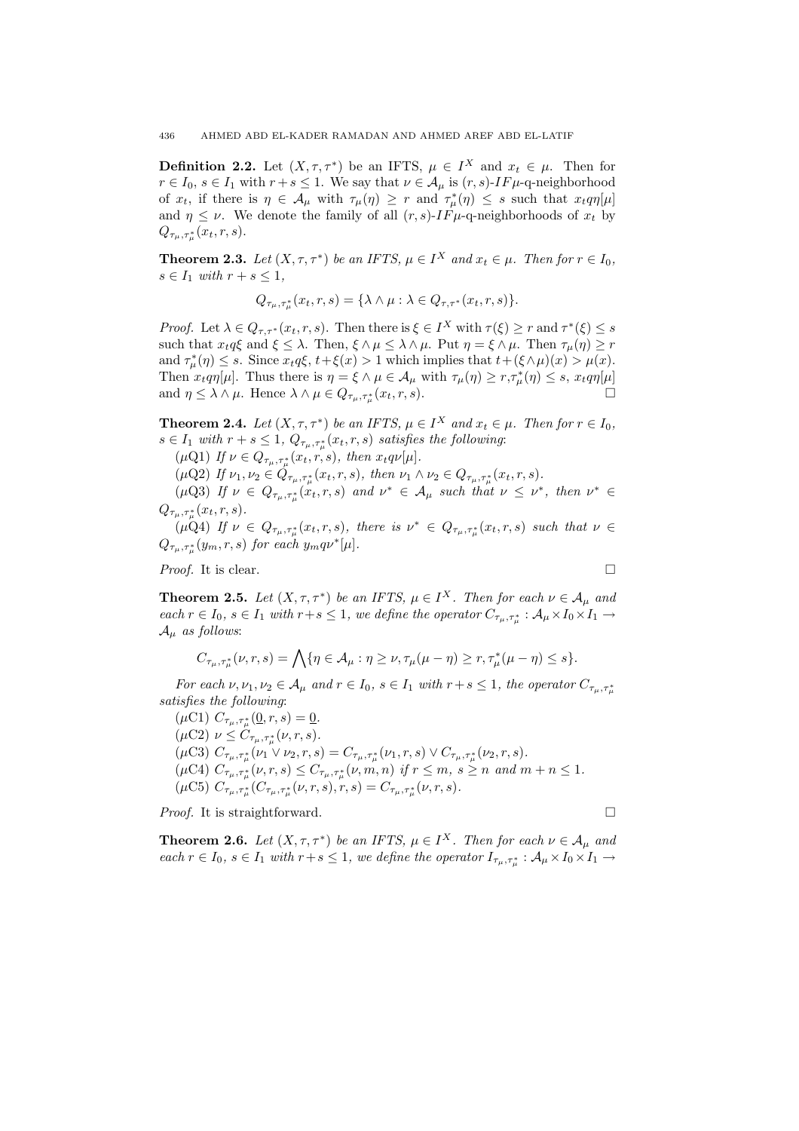**Definition 2.2.** Let  $(X, \tau, \tau^*)$  be an IFTS,  $\mu \in I^X$  and  $x_t \in \mu$ . Then for  $r \in I_0$ ,  $s \in I_1$  with  $r + s \leq 1$ . We say that  $\nu \in A_\mu$  is  $(r, s)$ -IF $\mu$ -q-neighborhood of  $x_t$ , if there is  $\eta \in A_\mu$  with  $\tau_\mu(\eta) \geq r$  and  $\tau_\mu^*(\eta) \leq s$  such that  $x_t q \eta[\mu]$ and  $\eta \leq \nu$ . We denote the family of all  $(r, s)$ -*IF*  $\mu$ -q-neighborhoods of  $x_t$  by  $Q_{\tau_{\mu},\tau_{\mu}^*}(x_t,r,s).$ 

**Theorem 2.3.** Let  $(X, \tau, \tau^*)$  be an IFTS,  $\mu \in I^X$  and  $x_t \in \mu$ . Then for  $r \in I_0$ ,  $s \in I_1$  with  $r + s \leq 1$ ,

$$
Q_{\tau_{\mu},\tau_{\mu}^*}(x_t,r,s) = \{\lambda \wedge \mu : \lambda \in Q_{\tau,\tau^*}(x_t,r,s)\}.
$$

*Proof.* Let  $\lambda \in Q_{\tau,\tau^*}(x_t,r,s)$ . Then there is  $\xi \in I^X$  with  $\tau(\xi) \geq r$  and  $\tau^*(\xi) \leq s$ such that  $x_t q \xi$  and  $\xi \leq \lambda$ . Then,  $\xi \wedge \mu \leq \lambda \wedge \mu$ . Put  $\eta = \xi \wedge \mu$ . Then  $\tau_\mu(\eta) \geq r$ and  $\tau^*_{\mu}(\eta) \leq s$ . Since  $x_t q \xi$ ,  $t + \xi(x) > 1$  which implies that  $t + (\xi \wedge \mu)(x) > \mu(x)$ . Then  $x_t q \eta[\mu]$ . Thus there is  $\eta = \xi \wedge \mu \in \mathcal{A}_{\mu}$  with  $\tau_{\mu}(\eta) \geq r, \tau_{\mu}^*(\eta) \leq s$ ,  $x_t q \eta[\mu]$ and  $\eta \leq \lambda \wedge \mu$ . Hence  $\lambda \wedge \mu \in Q_{\tau_{\mu}, \tau_{\mu}^*}(x_t, r, s)$ .

**Theorem 2.4.** Let  $(X, \tau, \tau^*)$  be an IFTS,  $\mu \in I^X$  and  $x_t \in \mu$ . Then for  $r \in I_0$ ,  $s \in I_1$  with  $r + s \leq 1$ ,  $Q_{\tau_\mu, \tau_\mu^*}(x_t, r, s)$  satisfies the following:

 $(\mu \text{Q1})$  If  $\nu \in Q_{\tau_{\mu}, \tau_{\mu}^*}(x_t, r, s)$ , then  $x_t q \nu[\mu]$ .

 $(\mu \mathbf{Q}2)$  If  $\nu_1, \nu_2 \in Q_{\tau_\mu, \tau_\mu^*}(x_t, r, s)$ , then  $\nu_1 \wedge \nu_2 \in Q_{\tau_\mu, \tau_\mu^*}(x_t, r, s)$ .

( $\mu$ Q3) If  $\nu \in Q_{\tau_{\mu},\tau_{\mu}^*}(x_t,r,s)$  and  $\nu^* \in A_{\mu}$  such that  $\nu \leq \nu^*$ , then  $\nu^* \in A_{\mu}$  $Q_{\tau_{\mu},\tau_{\mu}^*}(x_t,r,s).$ 

 $(\mu\bar{Q}4)$  If  $\nu \in Q_{\tau_{\mu},\tau_{\mu}^{*}}(x_t,r,s)$ , there is  $\nu^{*} \in Q_{\tau_{\mu},\tau_{\mu}^{*}}(x_t,r,s)$  such that  $\nu \in$  $Q_{\tau_{\mu},\tau_{\mu}^{*}}(y_{m},r,s)$  for each  $y_{m}q\nu^{*}[\mu]$ .

*Proof.* It is clear.  $\Box$ 

**Theorem 2.5.** Let  $(X, \tau, \tau^*)$  be an IFTS,  $\mu \in I^X$ . Then for each  $\nu \in A_\mu$  and each  $r \in I_0$ ,  $s \in I_1$  with  $r+s \leq 1$ , we define the operator  $C_{\tau_\mu,\tau_\mu^*}: A_\mu \times I_0 \times I_1 \to$  $A_{\mu}$  as follows:

$$
C_{\tau_{\mu},\tau_{\mu}^*}(\nu,r,s) = \bigwedge \{\eta \in \mathcal{A}_{\mu} : \eta \ge \nu, \tau_{\mu}(\mu - \eta) \ge r, \tau_{\mu}^*(\mu - \eta) \le s\}.
$$

For each  $\nu, \nu_1, \nu_2 \in A_\mu$  and  $r \in I_0$ ,  $s \in I_1$  with  $r + s \leq 1$ , the operator  $C_{\tau_\mu, \tau_\mu^*}$ satisfies the following:

 $(\mu C1)$   $C_{\tau_{\mu}, \tau_{\mu}^{*}}(\underline{0}, r, s) = \underline{0}.$  $(\mu \text{C2}) \ \nu \leq C_{\tau_{\mu}, \tau_{\mu}^{*}}(\nu, r, s).$ ( $\mu$ C3)  $C_{\tau_{\mu}, \tau_{\mu}^{*}}(\nu_{1} \vee \nu_{2}, r, s) = C_{\tau_{\mu}, \tau_{\mu}^{*}}(\nu_{1}, r, s) \vee C_{\tau_{\mu}, \tau_{\mu}^{*}}(\nu_{2}, r, s).$  $(\mu \text{C4}) \ C_{\tau_{\mu}, \tau_{\mu}^{*}}(\nu, r, s) \leq C_{\tau_{\mu}, \tau_{\mu}^{*}}(\nu, m, n) \ \text{if} \ r \leq m, \ s \geq n \ \text{and} \ m + n \leq 1.$ ( $\mu$ C5)  $C_{\tau_{\mu}, \tau_{\mu}^{*}}(C_{\tau_{\mu}, \tau_{\mu}^{*}}(\nu, r, s), r, s) = C_{\tau_{\mu}, \tau_{\mu}^{*}}(\nu, r, s).$ 

*Proof.* It is straightforward.  $\Box$ 

**Theorem 2.6.** Let  $(X, \tau, \tau^*)$  be an IFTS,  $\mu \in I^X$ . Then for each  $\nu \in A_\mu$  and each  $r \in I_0$ ,  $s \in I_1$  with  $r+s \leq 1$ , we define the operator  $I_{\tau_\mu,\tau_\mu^*} : \mathcal{A}_\mu \times I_0 \times I_1 \to$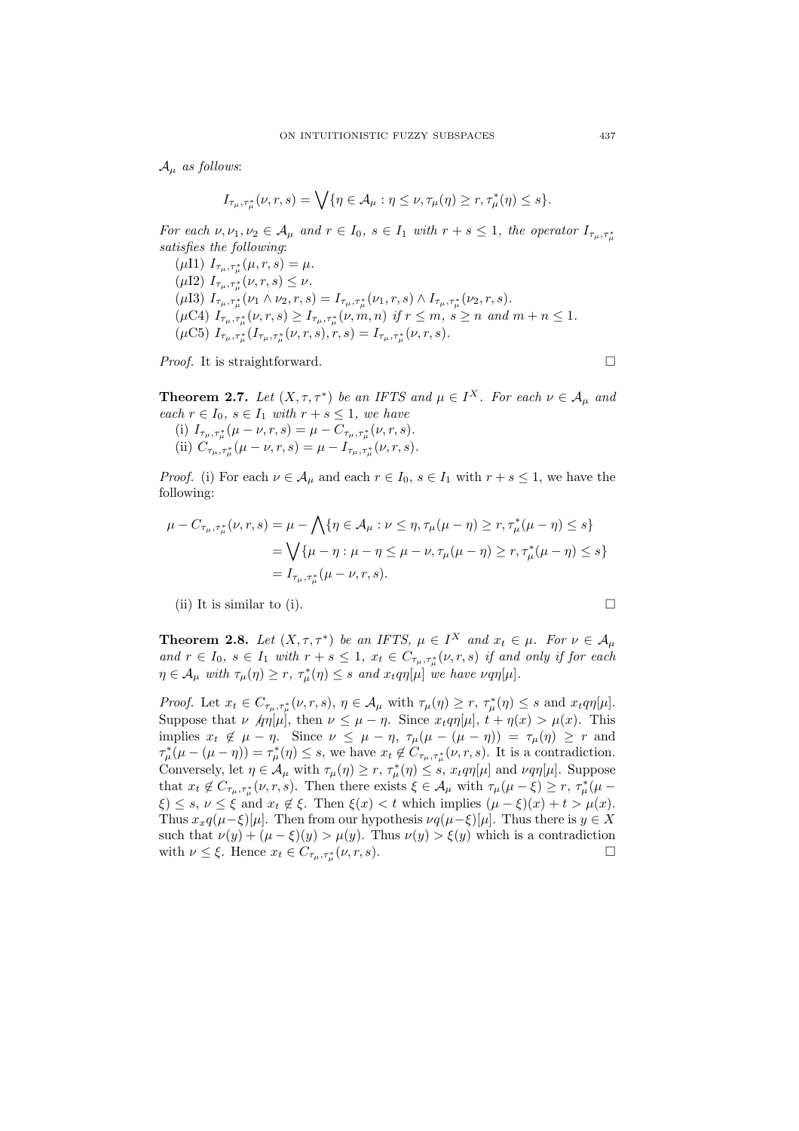$A_{\mu}$  as follows:

$$
I_{\tau_{\mu},\tau_{\mu}^*}(\nu,r,s) = \bigvee \{\eta \in \mathcal{A}_{\mu} : \eta \leq \nu, \tau_{\mu}(\eta) \geq r, \tau_{\mu}^*(\eta) \leq s\}.
$$

For each  $\nu, \nu_1, \nu_2 \in A_\mu$  and  $r \in I_0$ ,  $s \in I_1$  with  $r + s \leq 1$ , the operator  $I_{\tau_\mu, \tau_\mu^*}$ satisfies the following:

( $\mu$ I1)  $I_{\tau_{\mu},\tau_{\mu}^{*}}(\mu,r,s) = \mu$ . ( $\mu$ I2)  $I_{\tau_{\mu},\tau_{\mu}^{*}}(\nu,r,s) \leq \nu$ . ( $\mu$ I3)  $I_{\tau_{\mu},\tau_{\mu}^{*}}(\nu_{1} \wedge \nu_{2}, r, s) = I_{\tau_{\mu},\tau_{\mu}^{*}}(\nu_{1}, r, s) \wedge I_{\tau_{\mu},\tau_{\mu}^{*}}(\nu_{2}, r, s).$  $(\mu \text{C4})$   $I_{\tau_{\mu}, \tau_{\mu}^{*}}(\nu, r, s) \geq I_{\tau_{\mu}, \tau_{\mu}^{*}}(\nu, m, n)$  if  $r \leq m$ ,  $s \geq n$  and  $m + n \leq 1$ .  $(\mu C5) I_{\tau_{\mu}, \tau_{\mu}^{*}}(I_{\tau_{\mu}, \tau_{\mu}^{*}}(\nu, r, s), r, s) = I_{\tau_{\mu}, \tau_{\mu}^{*}}(\nu, r, s).$ 

*Proof.* It is straightforward.  $\Box$ 

**Theorem 2.7.** Let  $(X, \tau, \tau^*)$  be an IFTS and  $\mu \in I^X$ . For each  $\nu \in A_\mu$  and each  $r \in I_0$ ,  $s \in I_1$  with  $r + s \leq 1$ , we have (i)  $I_{\tau_{\mu},\tau_{\mu}^{*}}(\mu-\nu,r,s)=\mu-C_{\tau_{\mu},\tau_{\mu}^{*}}(\nu,r,s).$ (ii)  $C_{\tau_{\mu}, \tau_{\mu}^{*}}(\mu - \nu, r, s) = \mu - I_{\tau_{\mu}, \tau_{\mu}^{*}}(\nu, r, s).$ 

*Proof.* (i) For each  $\nu \in A_\mu$  and each  $r \in I_0$ ,  $s \in I_1$  with  $r + s \leq 1$ , we have the following:

$$
\mu - C_{\tau_{\mu}, \tau_{\mu}^{*}}(\nu, r, s) = \mu - \bigwedge \{ \eta \in A_{\mu} : \nu \leq \eta, \tau_{\mu}(\mu - \eta) \geq r, \tau_{\mu}^{*}(\mu - \eta) \leq s \}
$$
  
=  $\bigvee \{ \mu - \eta : \mu - \eta \leq \mu - \nu, \tau_{\mu}(\mu - \eta) \geq r, \tau_{\mu}^{*}(\mu - \eta) \leq s \}$   
=  $I_{\tau_{\mu}, \tau_{\mu}^{*}}(\mu - \nu, r, s).$ 

(ii) It is similar to (i).  $\Box$ 

**Theorem 2.8.** Let  $(X, \tau, \tau^*)$  be an IFTS,  $\mu \in I^X$  and  $x_t \in \mu$ . For  $\nu \in A_\mu$ and  $r \in I_0$ ,  $s \in I_1$  with  $r + s \leq 1$ ,  $x_t \in C_{\tau_\mu, \tau_\mu^*}(\nu, r, s)$  if and only if for each  $\eta \in A_{\mu}$  with  $\tau_{\mu}(\eta) \geq r$ ,  $\tau_{\mu}^*(\eta) \leq s$  and  $x_t q \eta[\mu]$  we have  $\nu q \eta[\mu]$ .

Proof. Let  $x_t \in C_{\tau_\mu,\tau_\mu^*}(\nu,r,s), \eta \in \mathcal{A}_\mu$  with  $\tau_\mu(\eta) \ge r$ ,  $\tau_\mu^*(\eta) \le s$  and  $x_t q \eta[\mu]$ . Suppose that  $\nu \nvert q\eta[\mu]$ , then  $\nu \leq \mu - \eta$ . Since  $x_t q\eta[\mu]$ ,  $t + \eta(x) > \mu(x)$ . This implies  $x_t \notin \mu - \eta$ . Since  $\nu \leq \mu - \eta$ ,  $\tau_\mu(\mu - (\mu - \eta)) = \tau_\mu(\eta) \geq r$  and  $\tau^*_{\mu}(\mu - (\mu - \eta)) = \tau^*_{\mu}(\eta) \leq s$ , we have  $x_t \notin C_{\tau_{\mu}, \tau^*_{\mu}}(\nu, r, s)$ . It is a contradiction. Conversely, let  $\eta \in A_\mu$  with  $\tau_\mu(\eta) \ge r$ ,  $\tau_\mu^*(\eta) \le s$ ,  $x_t q \eta[\mu]$  and  $\nu q \eta[\mu]$ . Suppose that  $x_t \notin C_{\tau_\mu,\tau_\mu^*}(\nu,r,s)$ . Then there exists  $\xi \in \mathcal{A}_\mu$  with  $\tau_\mu(\mu - \xi) \geq r$ ,  $\tau_\mu^*(\mu - \xi)$  $\xi$ )  $\leq$  s,  $\nu \leq \xi$  and  $x_t \notin \xi$ . Then  $\xi(x) < t$  which implies  $(\mu - \xi)(x) + t > \mu(x)$ . Thus  $x_xq(\mu-\xi)[\mu]$ . Then from our hypothesis  $\nu q(\mu-\xi)[\mu]$ . Thus there is  $y \in X$ such that  $\nu(y) + (\mu - \xi)(y) > \mu(y)$ . Thus  $\nu(y) > \xi(y)$  which is a contradiction with  $\nu \leq \xi$ . Hence  $x_t \in C_{\tau_\mu, \tau_\mu^*}(\nu, r, s)$ .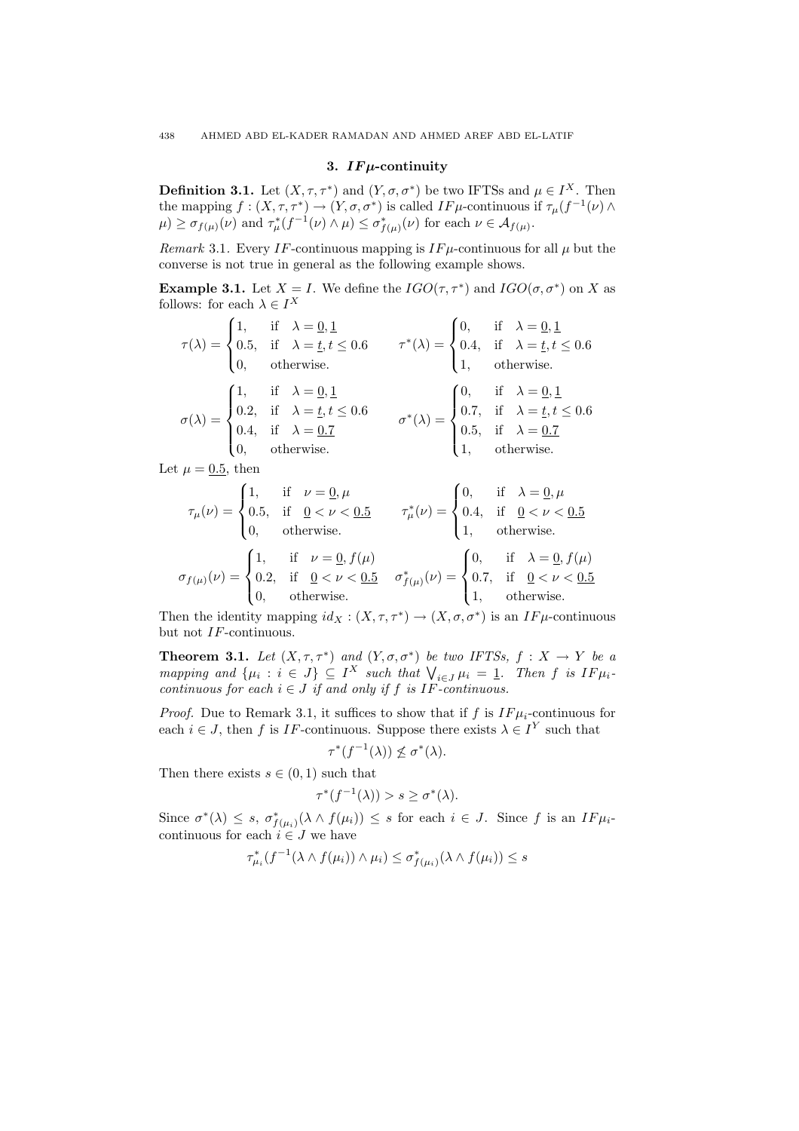### 3. IF $\mu$ -continuity

**Definition 3.1.** Let  $(X, \tau, \tau^*)$  and  $(Y, \sigma, \sigma^*)$  be two IFTSs and  $\mu \in I^X$ . Then the mapping  $f:(X,\tau,\tau^*)\to(Y,\sigma,\sigma^*)$  is called  $IF\mu$ -continuous if  $\tau_\mu(f^{-1}(\nu)\wedge$  $\mu$ )  $\geq \sigma_{f(\mu)}(\nu)$  and  $\tau_{\mu}^*(f^{-1}(\nu) \wedge \mu) \leq \sigma_{f(\mu)}^*(\nu)$  for each  $\nu \in \mathcal{A}_{f(\mu)}$ .

Remark 3.1. Every IF-continuous mapping is  $IF\mu$ -continuous for all  $\mu$  but the converse is not true in general as the following example shows.

**Example 3.1.** Let  $X = I$ . We define the  $IGO(\tau, \tau^*)$  and  $IGO(\sigma, \sigma^*)$  on X as follows: for each  $\lambda \in I^X$  $\overline{a}$ 

$$
\tau(\lambda) = \begin{cases}\n1, & \text{if } \lambda = \underline{0}, \underline{1} \\
0.5, & \text{if } \lambda = \underline{t}, t \le 0.6 \\
0, & \text{otherwise.} \n\end{cases} \qquad \tau^*(\lambda) = \begin{cases}\n0, & \text{if } \lambda = \underline{0}, \underline{1} \\
0.4, & \text{if } \lambda = \underline{t}, t \le 0.6 \\
1, & \text{otherwise.} \n\end{cases}
$$
\n
$$
\sigma(\lambda) = \begin{cases}\n1, & \text{if } \lambda = \underline{0}, \underline{1} \\
0.2, & \text{if } \lambda = \underline{t}, t \le 0.6 \\
0.4, & \text{if } \lambda = \underline{0.7} \\
0, & \text{otherwise.} \n\end{cases} \qquad \sigma^*(\lambda) = \begin{cases}\n0, & \text{if } \lambda = \underline{0}, \underline{1} \\
0.7, & \text{if } \lambda = \underline{t}, t \le 0.6 \\
0.5, & \text{if } \lambda = \underline{0.7} \\
1, & \text{otherwise.}\n\end{cases}
$$

Let  $\mu = 0.5$ , then Ţ

$$
\tau_{\mu}(\nu) = \begin{cases}\n1, & \text{if } \nu = 0, \mu \\
0.5, & \text{if } \Omega < \nu < 0.5 \\
0, & \text{otherwise.} \\
0.2, & \text{if } \Omega < \nu < 0.5\n\end{cases}\n\qquad\n\tau_{\mu}^{*}(\nu) = \begin{cases}\n0, & \text{if } \lambda = 0, \mu \\
0.4, & \text{if } \Omega < \nu < 0.5 \\
1, & \text{otherwise.} \\
0.7, & \text{if } \Omega < \nu < 0.5\n\end{cases}
$$
\n
$$
\sigma_{f(\mu)}(\nu) = \begin{cases}\n1, & \text{if } \nu = 0, f(\mu) \\
0.2, & \text{if } \Omega < \nu < 0.5 \\
0, & \text{otherwise.} \\
0, & \text{otherwise.}\n\end{cases}\n\qquad\n\sigma_{f(\mu)}^{*}(\nu) = \begin{cases}\n0, & \text{if } \lambda = 0, f(\mu) \\
0.7, & \text{if } \Omega < \nu < 0.5 \\
1, & \text{otherwise.}\n\end{cases}
$$

Then the identity mapping  $id_X : (X, \tau, \tau^*) \to (X, \sigma, \sigma^*)$  is an  $IF\mu$ -continuous but not IF-continuous.

**Theorem 3.1.** Let  $(X, \tau, \tau^*)$  and  $(Y, \sigma, \sigma^*)$  be two IFTSs,  $f : X \to Y$  be a **Theorem 3.1.** Let  $(A, 7, 7, 7)$  and  $(T, 0, 0)$  be two IF 15s,  $J : A \rightarrow T$  be a<br>mapping and  $\{\mu_i : i \in J\} \subseteq I^X$  such that  $\bigvee_{i \in J} \mu_i = 1$ . Then f is  $IF\mu_i$ continuous for each  $i \in J$  if and only if f is IF-continuous.

*Proof.* Due to Remark 3.1, it suffices to show that if f is  $IF\mu_i$ -continuous for each  $i \in J$ , then f is IF-continuous. Suppose there exists  $\lambda \in I^Y$  such that

$$
\tau^*(f^{-1}(\lambda)) \not\le \sigma^*(\lambda).
$$

Then there exists  $s \in (0, 1)$  such that

τ

$$
^*(f^{-1}(\lambda)) > s \ge \sigma^*(\lambda).
$$

Since  $\sigma^*(\lambda) \leq s$ ,  $\sigma^*_{f(\mu_i)}(\lambda \wedge f(\mu_i)) \leq s$  for each  $i \in J$ . Since f is an  $IF\mu_i$ continuous for each  $i \in J$  we have

$$
\tau_{\mu_i}^*(f^{-1}(\lambda \wedge f(\mu_i)) \wedge \mu_i) \le \sigma_{f(\mu_i)}^*(\lambda \wedge f(\mu_i)) \le s
$$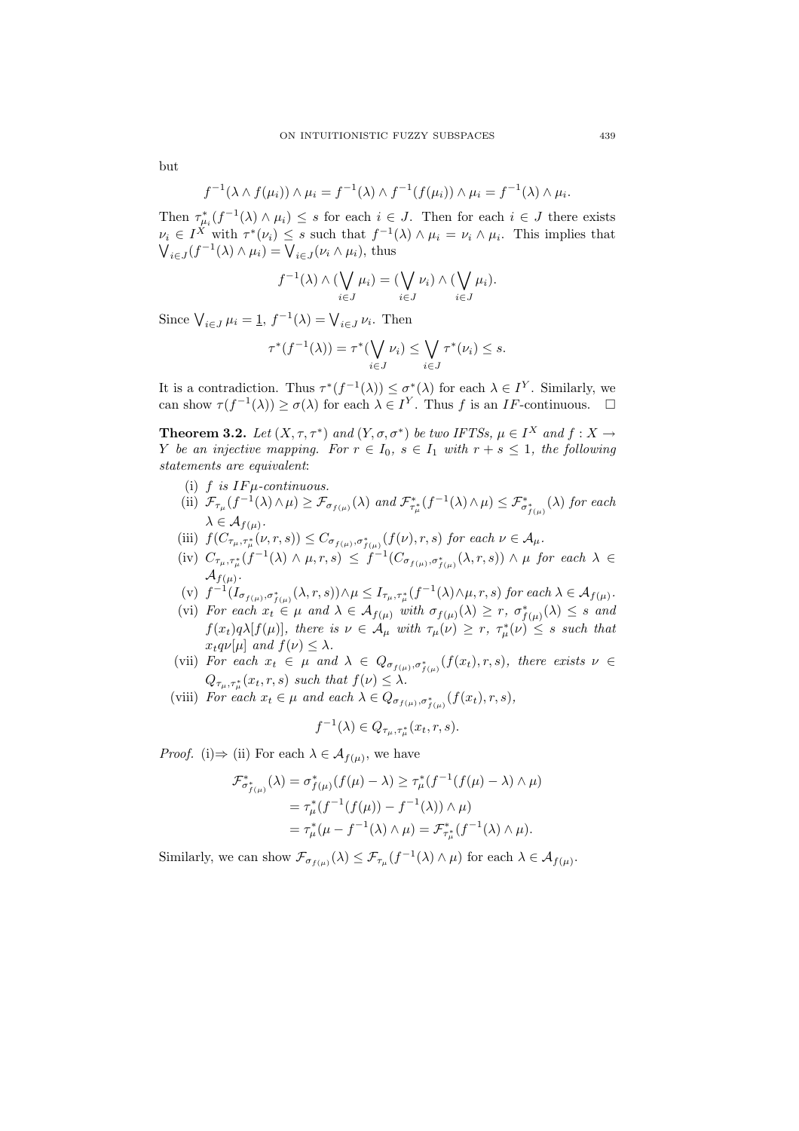but

$$
f^{-1}(\lambda \wedge f(\mu_i)) \wedge \mu_i = f^{-1}(\lambda) \wedge f^{-1}(f(\mu_i)) \wedge \mu_i = f^{-1}(\lambda) \wedge \mu_i.
$$

Then  $\tau_{\mu_i}^*(f^{-1}(\lambda) \wedge \mu_i) \leq s$  for each  $i \in J$ . Then for each  $i \in J$  there exists  $\nu_i \in I^X$  with  $\tau^*(\nu_i) \leq s$  such that  $f^{-1}(\lambda) \wedge \mu_i = \nu_i \wedge \mu_i$ . This implies that  $\epsilon I$  with  $\tau(\nu_i) \leq s$  such that  $J$ 

$$
f^{-1}(\lambda) \wedge (\bigvee_{i \in J} \mu_i) = (\bigvee_{i \in J} \nu_i) \wedge (\bigvee_{i \in J} \mu_i).
$$

Since  $\bigvee_{i\in J}\mu_i=1$ ,  $f^{-1}(\lambda)=\bigvee_{i\in J}\nu_i$ . Then

$$
\tau^*(f^{-1}(\lambda)) = \tau^*(\bigvee_{i \in J} \nu_i) \le \bigvee_{i \in J} \tau^*(\nu_i) \le s.
$$

It is a contradiction. Thus  $\tau^*(f^{-1}(\lambda)) \leq \sigma^*(\lambda)$  for each  $\lambda \in I^Y$ . Similarly, we can show  $\tau(f^{-1}(\lambda)) \geq \sigma(\lambda)$  for each  $\lambda \in I^Y$ . Thus f is an IF-continuous.  $\Box$ 

**Theorem 3.2.** Let  $(X, \tau, \tau^*)$  and  $(Y, \sigma, \sigma^*)$  be two IFTSs,  $\mu \in I^X$  and  $f : X \to Y$ Y be an injective mapping. For  $r \in I_0$ ,  $s \in I_1$  with  $r + s \leq 1$ , the following statements are equivalent:

- (i)  $f$  is  $IF\mu$ -continuous.
- (ii)  $\mathcal{F}_{\tau_{\mu}}(f^{-1}(\lambda) \wedge \mu) \geq \mathcal{F}_{\sigma_{f(\mu)}}(\lambda)$  and  $\mathcal{F}_{\tau_{\mu}^{*}}^{*}(f^{-1}(\lambda) \wedge \mu) \leq \mathcal{F}_{\sigma_{f(\mu)}}^{*}(\lambda)$  for each  $\lambda \in \mathcal{A}_{f(\mu)}$ .
- (iii)  $f(C_{\tau_{\mu},\tau_{\mu}^{*}}(\nu,r,s)) \leq C_{\sigma_{f(\mu)},\sigma_{f(\mu)}^{*}}(f(\nu),r,s)$  for each  $\nu \in A_{\mu}$ .
- (iv)  $C_{\tau_{\mu},\tau_{\mu}^{*}}(f^{-1}(\lambda) \wedge \mu,r,s) \leq f^{-1}(C_{\sigma_{f(\mu)},\sigma_{f(\mu)}^{*}}(\lambda,r,s)) \wedge \mu$  for each  $\lambda \in$  $\mathcal{A}_{f(\mu)}$ .
- (v)  $f^{-1}(I_{\sigma_{f(\mu)},\sigma_{f(\mu)}}(\lambda,r,s))\wedge\mu\leq I_{\tau_{\mu},\tau_{\mu}^*}(f^{-1}(\lambda)\wedge\mu,r,s)$  for each  $\lambda\in\mathcal{A}_{f(\mu)}$ .
- (vi) For each  $x_t \in \mu$  and  $\lambda \in \mathcal{A}_{f(\mu)}$  with  $\sigma_{f(\mu)}(\lambda) \geq r$ ,  $\sigma_{f(\mu)}^*(\lambda) \leq s$  and  $f(x_t)q\lambda[f(\mu)],$  there is  $\nu \in A_\mu$  with  $\tau_\mu(\nu) \geq r$ ,  $\tau_\mu^*(\nu) \leq s$  such that  $x_t q \nu[\mu]$  and  $f(\nu) \leq \lambda$ .
- (vii) For each  $x_t \in \mu$  and  $\lambda \in Q_{\sigma_{f(\mu)}, \sigma_{f(\mu)}^*}(f(x_t), r, s)$ , there exists  $\nu \in$  $Q_{\tau_{\mu},\tau_{\mu}^{*}}(x_{t},r,s)$  such that  $f(\nu) \leq \lambda$ .
- (viii) For each  $x_t \in \mu$  and each  $\lambda \in Q_{\sigma_{f(\mu)}, \sigma_{f(\mu)}^*}(f(x_t), r, s)$ ,

$$
f^{-1}(\lambda) \in Q_{\tau_{\mu}, \tau_{\mu}^*}(x_t, r, s).
$$

*Proof.* (i)  $\Rightarrow$  (ii) For each  $\lambda \in \mathcal{A}_{f(\mu)}$ , we have

$$
\mathcal{F}_{\sigma_{f(\mu)}}^{*}(\lambda) = \sigma_{f(\mu)}^{*}(f(\mu) - \lambda) \ge \tau_{\mu}^{*}(f^{-1}(f(\mu) - \lambda) \wedge \mu)
$$
  
=  $\tau_{\mu}^{*}(f^{-1}(f(\mu)) - f^{-1}(\lambda)) \wedge \mu$   
=  $\tau_{\mu}^{*}(\mu - f^{-1}(\lambda) \wedge \mu) = \mathcal{F}_{\tau_{\mu}}^{*}(f^{-1}(\lambda) \wedge \mu)$ .

Similarly, we can show  $\mathcal{F}_{\sigma_{f(\mu)}}(\lambda) \leq \mathcal{F}_{\tau_{\mu}}(f^{-1}(\lambda) \wedge \mu)$  for each  $\lambda \in \mathcal{A}_{f(\mu)}$ .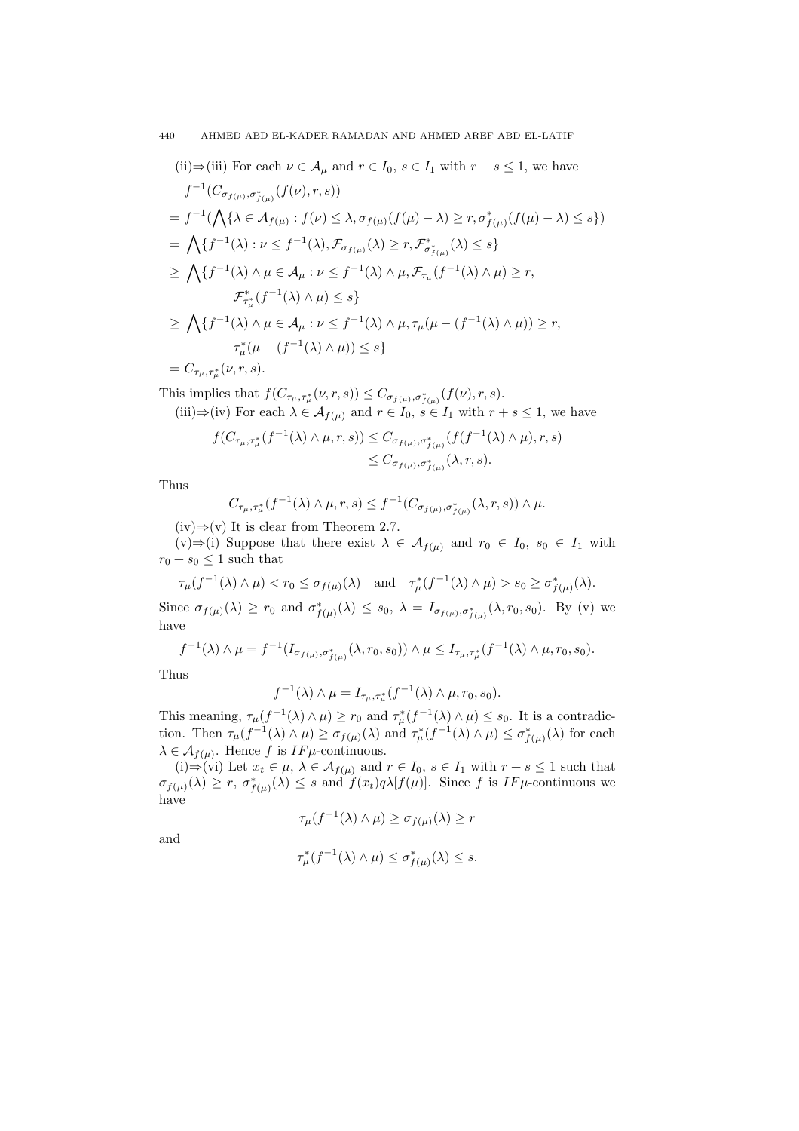(ii)⇒(iii) For each  $\nu \in A_\mu$  and  $r \in I_0$ ,  $s \in I_1$  with  $r + s \leq 1$ , we have  $f^{-1}(C_{\sigma_{f(\mu)},\sigma_{f(\mu)}^*}(f(\nu),r,s))$  $= f^{-1}($  $\mathbf{A}$  $\{\lambda \in \mathcal{A}_{f(\mu)} : f(\nu) \leq \lambda, \sigma_{f(\mu)}(f(\mu) - \lambda) \geq r, \sigma_{f(\mu)}^*(f(\mu) - \lambda) \leq s\})$ =  $\mathbf{r}$  $\{f^{-1}(\lambda): \nu \leq f^{-1}(\lambda), \mathcal{F}_{\sigma_{f(\mu)}}(\lambda) \geq r, \mathcal{F}_{\sigma_{f(\mu)}}^*(\lambda) \leq s\}$ ≥  $\mathbf{r}$  ${f^{-1}(\lambda) \wedge \mu \in \mathcal{A}_{\mu} : \nu \leq f^{-1}(\lambda) \wedge \mu, \mathcal{F}_{\tau_{\mu}}(f^{-1}(\lambda) \wedge \mu) \geq r,}$  $\mathcal{F}_{\tau_\mu^*}^*(f^{-1}(\lambda) \wedge \mu) \leq s$ ≥  $\mathbf{A}$  ${f^{-1}(\lambda) \wedge \mu \in \mathcal{A}_{\mu} : \nu \leq f^{-1}(\lambda) \wedge \mu, \tau_{\mu}(\mu - (f^{-1}(\lambda) \wedge \mu)) \geq r,}$  $\tau_\mu^*(\mu - (f^{-1}(\lambda) \wedge \mu)) \leq s$  $=C_{\tau_{\mu},\tau_{\mu}^{*}}(\nu,r,s).$ 

This implies that  $f(C_{\tau_{\mu}, \tau_{\mu}^*}(\nu, r, s)) \leq C_{\sigma_{f(\mu)}, \sigma_{f(\mu)}^*}(f(\nu), r, s).$ 

(iii) 
$$
\Rightarrow
$$
 (iv) For each  $\lambda \in A_{f(\mu)}$  and  $r \in I_0$ ,  $s \in I_1$  with  $r + s \le 1$ , we have

$$
f(C_{\tau_{\mu},\tau_{\mu}^{*}}(f^{-1}(\lambda) \wedge \mu, r, s)) \leq C_{\sigma_{f(\mu)},\sigma_{f(\mu)}^{*}}(f(f^{-1}(\lambda) \wedge \mu), r, s)
$$
  

$$
\leq C_{\sigma_{f(\mu)},\sigma_{f(\mu)}^{*}}(\lambda, r, s).
$$

Thus

$$
C_{\tau_{\mu},\tau_{\mu}^*}(f^{-1}(\lambda)\wedge\mu,r,s)\leq f^{-1}(C_{\sigma_{f(\mu)},\sigma_{f(\mu)}^*}(\lambda,r,s))\wedge\mu.
$$

 $(iv) \Rightarrow (v)$  It is clear from Theorem 2.7.

(v)⇒(i) Suppose that there exist  $\lambda \in \mathcal{A}_{f(\mu)}$  and  $r_0 \in I_0$ ,  $s_0 \in I_1$  with  $r_0 + s_0 \leq 1$  such that

$$
\tau_{\mu}(f^{-1}(\lambda) \wedge \mu) < r_0 \le \sigma_{f(\mu)}(\lambda)
$$
 and  $\tau_{\mu}^*(f^{-1}(\lambda) \wedge \mu) > s_0 \ge \sigma_{f(\mu)}^*(\lambda)$ .

Since  $\sigma_{f(\mu)}(\lambda) \ge r_0$  and  $\sigma_{f(\mu)}^*(\lambda) \le s_0$ ,  $\lambda = I_{\sigma_{f(\mu)}, \sigma_{f(\mu)}^*}(\lambda, r_0, s_0)$ . By (v) we have

$$
f^{-1}(\lambda) \wedge \mu = f^{-1}(I_{\sigma_{f(\mu)}, \sigma_{f(\mu)}}(\lambda, r_0, s_0)) \wedge \mu \leq I_{\tau_{\mu}, \tau_{\mu}^*}(f^{-1}(\lambda) \wedge \mu, r_0, s_0).
$$

Thus

$$
f^{-1}(\lambda) \wedge \mu = I_{\tau_{\mu}, \tau_{\mu}^*}(f^{-1}(\lambda) \wedge \mu, r_0, s_0).
$$

This meaning,  $\tau_{\mu}(f^{-1}(\lambda) \wedge \mu) \geq r_0$  and  $\tau_{\mu}^*(f^{-1}(\lambda) \wedge \mu) \leq s_0$ . It is a contradiction. Then  $\tau_{\mu}(f^{-1}(\lambda) \wedge \mu) \ge \sigma_{f(\mu)}(\lambda)$  and  $\tau_{\mu}^{*}(f^{-1}(\lambda) \wedge \mu) \le \sigma_{f(\mu)}^{*}(\lambda)$  for each  $\lambda \in \mathcal{A}_{f(\mu)}$ . Hence f is IF $\mu$ -continuous.

(i)⇒(vi) Let  $x_t \in \mu$ ,  $\lambda \in \mathcal{A}_{f(\mu)}$  and  $r \in I_0$ ,  $s \in I_1$  with  $r + s \leq 1$  such that  $\sigma_{f(\mu)}(\lambda) \geq r$ ,  $\sigma_{f(\mu)}^*(\lambda) \leq s$  and  $f(x_t)q\lambda[f(\mu)]$ . Since f is IF $\mu$ -continuous we have

$$
\tau_{\mu}(f^{-1}(\lambda) \wedge \mu) \ge \sigma_{f(\mu)}(\lambda) \ge r
$$

and

$$
\tau^*_{\mu}(f^{-1}(\lambda) \wedge \mu) \le \sigma^*_{f(\mu)}(\lambda) \le s.
$$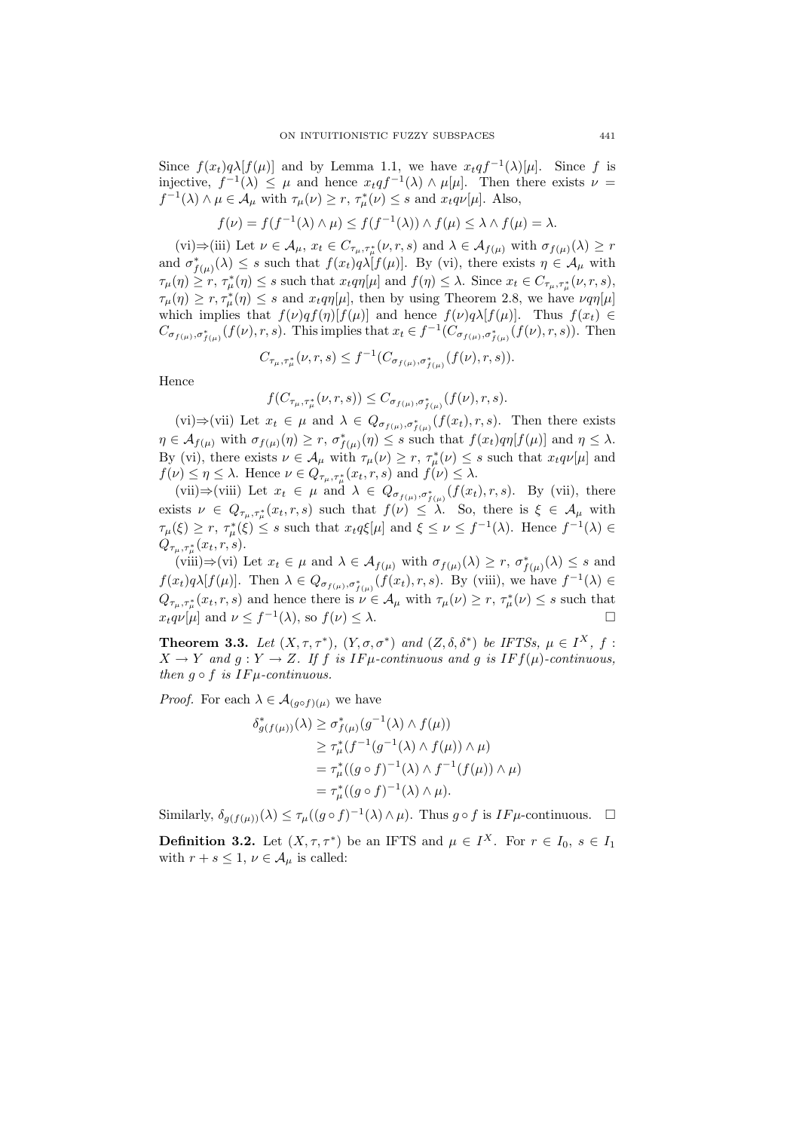Since  $f(x_t)q\lambda[f(\mu)]$  and by Lemma 1.1, we have  $x_tqf^{-1}(\lambda)[\mu]$ . Since f is injective,  $f^{-1}(\lambda) \leq \mu$  and hence  $x_t q f^{-1}(\lambda) \wedge \mu[\mu]$ . Then there exists  $\nu =$  $f^{-1}(\lambda) \wedge \mu \in \mathcal{A}_{\mu}$  with  $\tau_{\mu}(\nu) \ge r$ ,  $\tau_{\mu}^{*}(\nu) \le s$  and  $x_{t}q\nu[\mu]$ . Also,

$$
f(\nu) = f(f^{-1}(\lambda) \wedge \mu) \le f(f^{-1}(\lambda)) \wedge f(\mu) \le \lambda \wedge f(\mu) = \lambda.
$$

 $(vi) \Rightarrow (iii)$  Let  $\nu \in A_{\mu}, x_t \in C_{\tau_{\mu}, \tau_{\mu}^*}(\nu, r, s)$  and  $\lambda \in A_{f(\mu)}$  with  $\sigma_{f(\mu)}(\lambda) \geq r$ and  $\sigma_{f(\mu)}^*(\lambda) \leq s$  such that  $f(x_t)q\lambda[f(\mu)]$ . By (vi), there exists  $\eta \in A_{\mu}$  with  $\tau_{\mu}(\eta) \geq r$ ,  $\tau_{\mu}^*(\eta) \leq s$  such that  $x_t q \eta[\mu]$  and  $f(\eta) \leq \lambda$ . Since  $x_t \in C_{\tau_{\mu}, \tau_{\mu}^*(\nu, r, s)}$ ,  $\tau_{\mu}(\eta) \geq r, \tau_{\mu}^*(\eta) \leq s$  and  $x_t q \eta[\mu]$ , then by using Theorem 2.8, we have  $\nu q \eta[\mu]$ which implies that  $f(\nu)qf(\eta)[f(\mu)]$  and hence  $f(\nu)q\lambda[f(\mu)]$ . Thus  $f(x_t) \in$  $C_{\sigma_{f(\mu)},\sigma_{f(\mu)}^*}(f(\nu),r,s)$ . This implies that  $x_t \in f^{-1}(C_{\sigma_{f(\mu)},\sigma_{f(\mu)}^*}(f(\nu),r,s))$ . Then

$$
C_{\tau_{\mu},\tau_{\mu}^*}(\nu,r,s) \le f^{-1}(C_{\sigma_{f(\mu)},\sigma_{f(\mu)}^*}(f(\nu),r,s)).
$$

Hence

$$
f(C_{\tau_{\mu},\tau_{\mu}^*}(\nu,r,s)) \leq C_{\sigma_{f(\mu)},\sigma_{f(\mu)}^*}(f(\nu),r,s).
$$

(vi)⇒(vii) Let  $x_t \in \mu$  and  $\lambda \in Q_{\sigma_{f(\mu)},\sigma_{f(\mu)}^*}(f(x_t),r,s)$ . Then there exists  $\eta \in \mathcal{A}_{f(\mu)}$  with  $\sigma_{f(\mu)}(\eta) \geq r$ ,  $\sigma_{f(\mu)}^*(\eta) \leq s$  such that  $f(x_t)q\eta[f(\mu)]$  and  $\eta \leq \lambda$ . By (vi), there exists  $\nu \in A_\mu$  with  $\tau_\mu(\nu) \geq r$ ,  $\tau_\mu^*(\nu) \leq s$  such that  $x_t q \nu[\mu]$  and  $f(\nu) \leq \eta \leq \lambda$ . Hence  $\nu \in Q_{\tau_{\mu}, \tau_{\mu}^*}(x_t, r, s)$  and  $f(\nu) \leq \lambda$ .

(vii)⇒(viii) Let  $x_t \in \mu$  and  $\lambda \in Q_{\sigma_{f(\mu)}, \sigma_{f(\mu)}^*}(f(x_t), r, s)$ . By (vii), there exists  $\nu \in Q_{\tau_{\mu},\tau_{\mu}^*}(x_t,r,s)$  such that  $f(\nu) \leq \lambda$ . So, there is  $\xi \in A_{\mu}$  with  $\tau_{\mu}(\xi) \geq r$ ,  $\tau_{\mu}^{*}(\xi) \leq s$  such that  $x_{t}q\xi[\mu]$  and  $\xi \leq \nu \leq f^{-1}(\lambda)$ . Hence  $f^{-1}(\lambda) \in$  $Q_{\tau_{\mu},\tau_{\mu}^*}(x_t,r,s).$ 

 $(viiii) \Rightarrow (vi)$  Let  $x_t \in \mu$  and  $\lambda \in \mathcal{A}_{f(\mu)}$  with  $\sigma_{f(\mu)}(\lambda) \geq r$ ,  $\sigma_{f(\mu)}^*(\lambda) \leq s$  and  $f(x_t)q\lambda[f(\mu)]$ . Then  $\lambda \in Q_{\sigma_{f(\mu)},\sigma_{f(\mu)}^*}(f(x_t),r,s)$ . By (viii), we have  $f^{-1}(\lambda) \in$  $Q_{\tau_{\mu},\tau_{\mu}^{*}}(x_{t},r,s)$  and hence there is  $\nu \in A_{\mu}$  with  $\tau_{\mu}(\nu) \geq r$ ,  $\tau_{\mu}^{*}(\nu) \leq s$  such that  $x_t q \nu[\mu]$  and  $\nu \leq f^{-1}(\lambda)$ , so  $f(\nu) \leq \lambda$ .

**Theorem 3.3.** Let  $(X, \tau, \tau^*)$ ,  $(Y, \sigma, \sigma^*)$  and  $(Z, \delta, \delta^*)$  be IFTSs,  $\mu \in I^X$ , f:  $X \to Y$  and  $q: Y \to Z$ . If f is IF $\mu$ -continuous and q is IF  $f(\mu)$ -continuous, then  $q \circ f$  is  $IF\mu$ -continuous.

*Proof.* For each  $\lambda \in \mathcal{A}_{(g \circ f)(\mu)}$  we have

$$
\delta_{g(f(\mu))}^*(\lambda) \geq \sigma_{f(\mu)}^*(g^{-1}(\lambda) \wedge f(\mu))
$$
  
\n
$$
\geq \tau_{\mu}^*(f^{-1}(g^{-1}(\lambda) \wedge f(\mu)) \wedge \mu)
$$
  
\n
$$
= \tau_{\mu}^*((g \circ f)^{-1}(\lambda) \wedge f^{-1}(f(\mu)) \wedge \mu)
$$
  
\n
$$
= \tau_{\mu}^*((g \circ f)^{-1}(\lambda) \wedge \mu).
$$

Similarly,  $\delta_{g(f(\mu))}(\lambda) \leq \tau_{\mu}((g \circ f)^{-1}(\lambda) \wedge \mu)$ . Thus  $g \circ f$  is  $IF\mu$ -continuous.  $\Box$ 

**Definition 3.2.** Let  $(X, \tau, \tau^*)$  be an IFTS and  $\mu \in I^X$ . For  $r \in I_0$ ,  $s \in I_1$ with  $r + s \leq 1$ ,  $\nu \in A_{\mu}$  is called: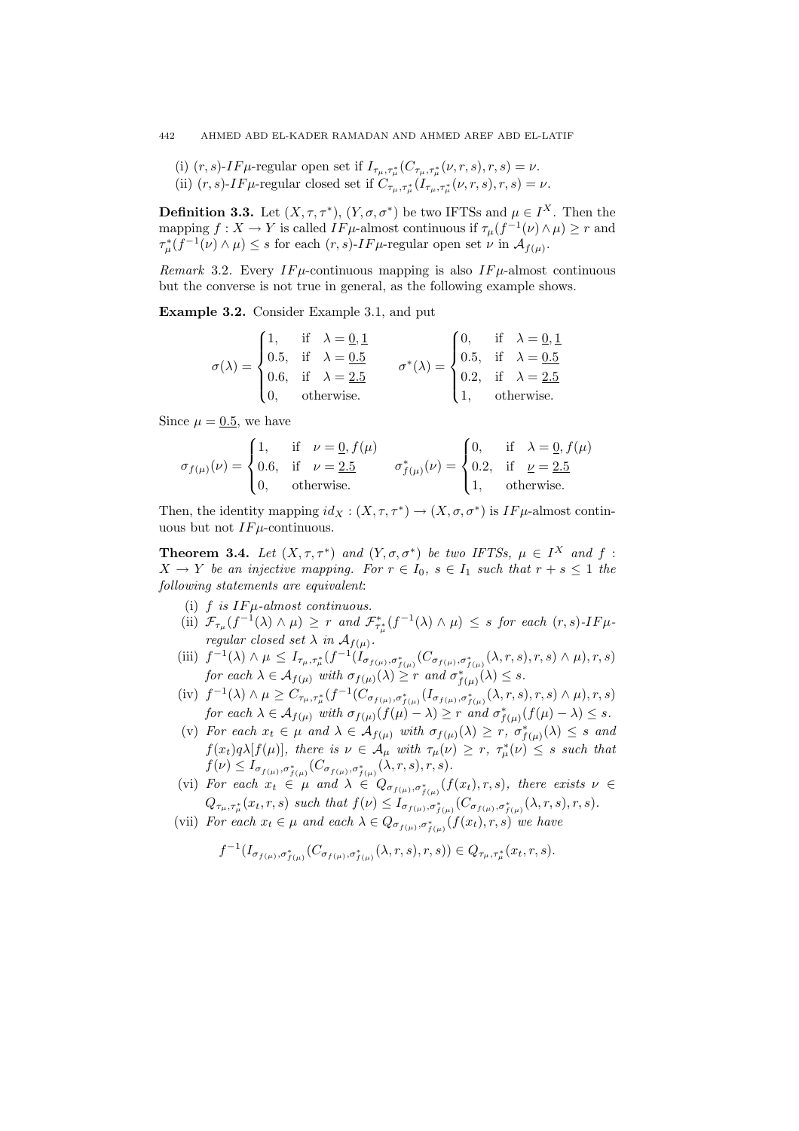(i)  $(r, s)$ -IF $\mu$ -regular open set if  $I_{\tau_{\mu}, \tau_{\mu}^*}(C_{\tau_{\mu}, \tau_{\mu}^*}(\nu, r, s), r, s) = \nu$ . (ii)  $(r, s)$ -IF $\mu$ -regular closed set if  $C_{\tau_{\mu}, \tau_{\mu}^*}(I_{\tau_{\mu}, \tau_{\mu}^*}(\nu, r, s), r, s) = \nu$ .

**Definition 3.3.** Let  $(X, \tau, \tau^*)$ ,  $(Y, \sigma, \sigma^*)$  be two IFTSs and  $\mu \in I^X$ . Then the mapping  $f: X \to Y$  is called  $IF\mu$ -almost continuous if  $\tau_\mu(f^{-1}(\nu) \wedge \mu) \geq r$  and  $\tau^*_{\mu}(f^{-1}(\nu) \wedge \mu) \leq s$  for each  $(r, s)$ -IF $\mu$ -regular open set  $\nu$  in  $\mathcal{A}_{f(\mu)}$ .

Remark 3.2. Every  $IF\mu$ -continuous mapping is also  $IF\mu$ -almost continuous but the converse is not true in general, as the following example shows.

Example 3.2. Consider Example 3.1, and put

$$
\sigma(\lambda) = \begin{cases} 1, & \text{if} \quad \lambda = \underline{0}, \underline{1} \\ 0.5, & \text{if} \quad \lambda = \underline{0.5} \\ 0.6, & \text{if} \quad \lambda = \underline{2.5} \\ 0, & \text{otherwise.} \end{cases} \qquad \sigma^*(\lambda) = \begin{cases} 0, & \text{if} \quad \lambda = \underline{0}, \underline{1} \\ 0.5, & \text{if} \quad \lambda = \underline{0.5} \\ 0.2, & \text{if} \quad \lambda = \underline{2.5} \\ 1, & \text{otherwise.} \end{cases}
$$

Since  $\mu = 0.5$ , we have

$$
\sigma_{f(\mu)}(\nu) = \begin{cases} 1, & \text{if } \nu = \underline{0}, f(\mu) \\ 0.6, & \text{if } \nu = \underline{2.5} \\ 0, & \text{otherwise.} \end{cases} \quad \sigma_{f(\mu)}^{*}(\nu) = \begin{cases} 0, & \text{if } \lambda = \underline{0}, f(\mu) \\ 0.2, & \text{if } \nu = \underline{2.5} \\ 1, & \text{otherwise.} \end{cases}
$$

Then, the identity mapping  $id_X : (X, \tau, \tau^*) \to (X, \sigma, \sigma^*)$  is  $IF\mu$ -almost continuous but not  $IF\mu$ -continuous.

**Theorem 3.4.** Let  $(X, \tau, \tau^*)$  and  $(Y, \sigma, \sigma^*)$  be two IFTSs,  $\mu \in I^X$  and  $f$ :  $X \to Y$  be an injective mapping. For  $r \in I_0$ ,  $s \in I_1$  such that  $r + s \leq 1$  the following statements are equivalent:

- (i)  $f$  is  $IF\mu$ -almost continuous.
- (ii)  $\mathcal{F}_{\tau_{\mu}}(f^{-1}(\lambda) \wedge \mu) \geq r$  and  $\mathcal{F}_{\tau_{\mu}}^{*}(f^{-1}(\lambda) \wedge \mu) \leq s$  for each  $(r, s)$ -IF $\mu$ regular closed set  $\lambda$  in  $\mathcal{A}_{f(\mu)}$ .
- (iii)  $f^{-1}(\lambda) \wedge \mu \leq I_{\tau_{\mu},\tau_{\mu}^*}(f^{-1}(I_{\sigma_{f(\mu)},\sigma_{f(\mu)}^*}(C_{\sigma_{f(\mu)},\sigma_{f(\mu)}^*}(\lambda,r,s),r,s) \wedge \mu),r,s)$ for each  $\lambda \in \mathcal{A}_{f(\mu)}$  with  $\sigma_{f(\mu)}(\lambda) \geq r$  and  $\sigma_{f(\mu)}^*(\lambda) \leq s$ .
- $\text{(iv)}\ \ f^{-1}(\lambda)\wedge\mu\geq C_{\tau_{\mu},\tau_{\mu}^{*}}(f^{-1}(C_{\sigma_{f(\mu)},\sigma_{f(\mu)}^{*}}(I_{\sigma_{f(\mu)},\sigma_{f(\mu)}^{*}}(\lambda,r,s),r,s)\wedge\mu),r,s)$ for each  $\lambda \in \mathcal{A}_{f(\mu)}$  with  $\sigma_{f(\mu)}(f(\mu) - \lambda) \geq r$  and  $\sigma_{f(\mu)}^*(f(\mu) - \lambda) \leq s$ .
- (v) For each  $x_t \in \mu$  and  $\lambda \in \mathcal{A}_{f(\mu)}$  with  $\sigma_{f(\mu)}(\lambda) \geq r, \sigma_{f(\mu)}^*(\lambda) \leq s$  and  $f(x_t)q\lambda[f(\mu)],$  there is  $\nu \in A_\mu$  with  $\tau_\mu(\nu) \geq r$ ,  $\tau_\mu^*(\nu) \leq s$  such that  $f(\nu) \leq I_{\sigma_{f(\mu)}, \sigma_{f(\mu)}^*}(C_{\sigma_{f(\mu)}, \sigma_{f(\mu)}^*}(\lambda, r, s), r, s).$
- (vi) For each  $x_t \in \mu$  and  $\lambda \in Q_{\sigma_{f(\mu)}, \sigma_{f(\mu)}}(f(x_t), r, s)$ , there exists  $\nu \in$  $Q_{\tau_{\mu},\tau_{\mu}^{*}}(x_{t}, r, s)$  such that  $f(\nu) \leq I_{\sigma_{f(\mu)},\sigma_{f(\mu)}^{*}}(C_{\sigma_{f(\mu)},\sigma_{f(\mu)}^{*}}(\lambda, r, s), r, s)$ .
- (vii) For each  $x_t \in \mu$  and each  $\lambda \in Q_{\sigma_{f(\mu)}, \sigma_{f(\mu)}^*}(f(x_t), r, s)$  we have

$$
f^{-1}(I_{\sigma_{f(\mu)},\sigma^*_{f(\mu)}}(C_{\sigma_{f(\mu)},\sigma^*_{f(\mu)}}(\lambda,r,s),r,s))\in Q_{\tau_\mu,\tau^*_{\mu}}(x_t,r,s).
$$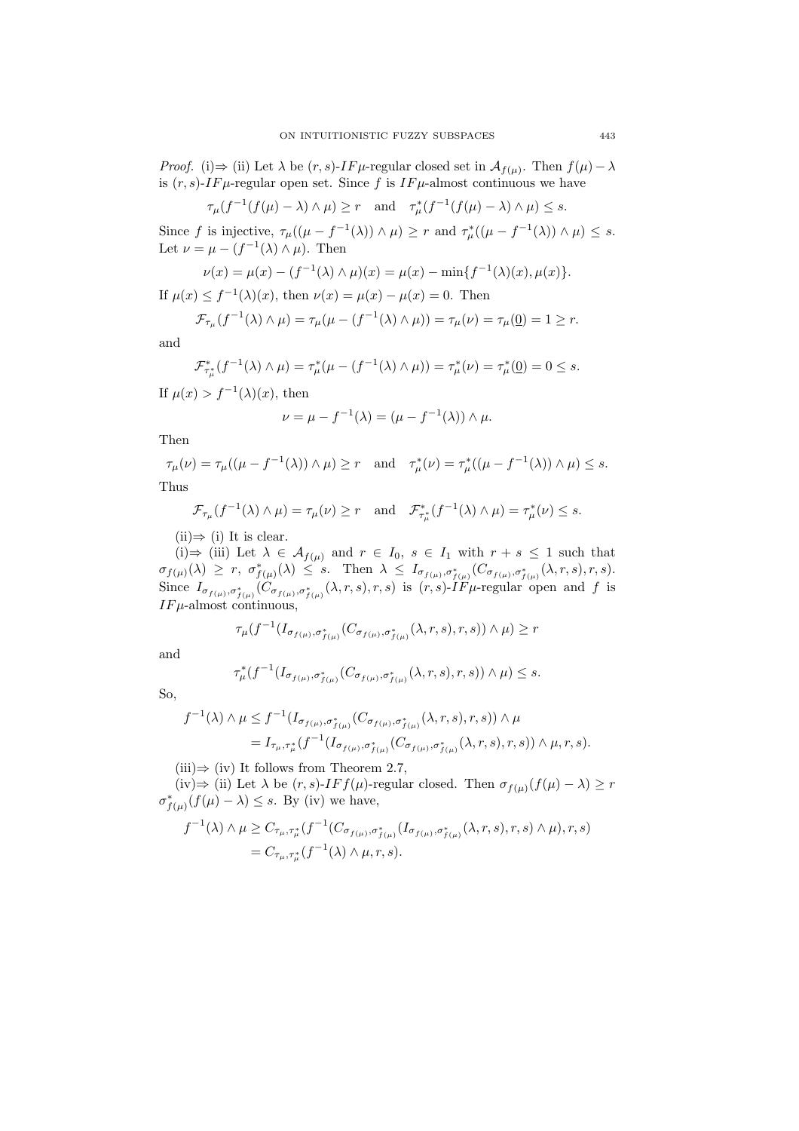*Proof.* (i)  $\Rightarrow$  (ii) Let  $\lambda$  be  $(r, s)$ -IF $\mu$ -regular closed set in  $\mathcal{A}_{f(\mu)}$ . Then  $f(\mu) - \lambda$ is  $(r, s)$ -IF $\mu$ -regular open set. Since f is IF $\mu$ -almost continuous we have

$$
\tau_{\mu}(f^{-1}(f(\mu)-\lambda)\wedge\mu)\geq r
$$
 and  $\tau_{\mu}^{*}(f^{-1}(f(\mu)-\lambda)\wedge\mu)\leq s$ .

Since f is injective,  $\tau_{\mu}((\mu - f^{-1}(\lambda)) \wedge \mu) \geq r$  and  $\tau_{\mu}^*((\mu - f^{-1}(\lambda)) \wedge \mu) \leq s$ . Let  $\nu = \mu - (f^{-1}(\lambda) \wedge \mu)$ . Then

$$
\nu(x) = \mu(x) - (f^{-1}(\lambda) \wedge \mu)(x) = \mu(x) - \min\{f^{-1}(\lambda)(x), \mu(x)\}.
$$

If  $\mu(x) \leq f^{-1}(\lambda)(x)$ , then  $\nu(x) = \mu(x) - \mu(x) = 0$ . Then

$$
\mathcal{F}_{\tau_{\mu}}(f^{-1}(\lambda) \wedge \mu) = \tau_{\mu}(\mu - (f^{-1}(\lambda) \wedge \mu)) = \tau_{\mu}(\nu) = \tau_{\mu}(\underline{0}) = 1 \geq r.
$$

and

$$
\mathcal{F}_{\tau_{\mu}^{*}}^{*}(f^{-1}(\lambda) \wedge \mu) = \tau_{\mu}^{*}(\mu - (f^{-1}(\lambda) \wedge \mu)) = \tau_{\mu}^{*}(\nu) = \tau_{\mu}^{*}(\underline{0}) = 0 \leq s.
$$

If  $\mu(x) > f^{-1}(\lambda)(x)$ , then

$$
\nu = \mu - f^{-1}(\lambda) = (\mu - f^{-1}(\lambda)) \wedge \mu.
$$

Then

$$
\tau_{\mu}(\nu) = \tau_{\mu}((\mu - f^{-1}(\lambda)) \wedge \mu) \ge r \quad \text{and} \quad \tau_{\mu}^{*}(\nu) = \tau_{\mu}^{*}((\mu - f^{-1}(\lambda)) \wedge \mu) \le s.
$$
 Thus

Thus

$$
\mathcal{F}_{\tau_{\mu}}(f^{-1}(\lambda) \wedge \mu) = \tau_{\mu}(\nu) \ge r \quad \text{and} \quad \mathcal{F}_{\tau_{\mu}^{*}}^{*}(f^{-1}(\lambda) \wedge \mu) = \tau_{\mu}^{*}(\nu) \le s.
$$

 $(ii) \Rightarrow (i)$  It is clear.

(i)  $\Rightarrow$  (iii) Let  $\lambda \in \mathcal{A}_{f(\mu)}$  and  $r \in I_0$ ,  $s \in I_1$  with  $r + s \leq 1$  such that  $\sigma_{f(\mu)}(\lambda) \geq r, \ \sigma_{f(\mu)}^*(\lambda) \leq s.$  Then  $\lambda \leq I_{\sigma_{f(\mu)},\sigma_{f(\mu)}^*}(C_{\sigma_{f(\mu)},\sigma_{f(\mu)}^*}(\lambda,r,s),r,s).$ Since  $I_{\sigma_{f(\mu)},\sigma_{f(\mu)}^*}(C_{\sigma_{f(\mu)},\sigma_{f(\mu)}^*}(\lambda,r,s),r,s)$  is  $(r,s)$ -IF $\mu$ -regular open and f is  $IF\mu$ -almost continuous,

$$
\tau_{\mu}(f^{-1}(I_{\sigma_{f(\mu)},\sigma_{f(\mu)}^*}(C_{\sigma_{f(\mu)},\sigma_{f(\mu)}^*}(\lambda,r,s),r,s)) \wedge \mu) \geq r
$$

and

$$
\tau^*_{\mu}(f^{-1}(I_{\sigma_{f(\mu)},\sigma^*_{f(\mu)}}(C_{\sigma_{f(\mu)},\sigma^*_{f(\mu)}}(\lambda,r,s),r,s)) \wedge \mu) \leq s.
$$

So,

$$
f^{-1}(\lambda) \wedge \mu \leq f^{-1}(I_{\sigma_{f(\mu)},\sigma_{f(\mu)}^*}(C_{\sigma_{f(\mu)},\sigma_{f(\mu)}^*}(\lambda,r,s),r,s)) \wedge \mu
$$
  
=  $I_{\tau_{\mu},\tau_{\mu}^*}(f^{-1}(I_{\sigma_{f(\mu)},\sigma_{f(\mu)}^*}(C_{\sigma_{f(\mu)},\sigma_{f(\mu)}^*}(\lambda,r,s),r,s)) \wedge \mu,r,s).$ 

 $(iii) \Rightarrow (iv)$  It follows from Theorem 2.7,

(iv)⇒ (ii) Let  $\lambda$  be  $(r, s)$ -*IF*  $f(\mu)$ -regular closed. Then  $\sigma_{f(\mu)}(f(\mu) - \lambda) \geq r$  $\sigma_{f(\mu)}^*(f(\mu) - \lambda) \leq s$ . By (iv) we have,

$$
f^{-1}(\lambda) \wedge \mu \geq C_{\tau_{\mu}, \tau_{\mu}^{*}} (f^{-1}(C_{\sigma_{f(\mu)}, \sigma_{f(\mu)}^{*}}(I_{\sigma_{f(\mu)}, \sigma_{f(\mu)}^{*}}(\lambda, r, s), r, s) \wedge \mu), r, s)
$$
  
=  $C_{\tau_{\mu}, \tau_{\mu}^{*}} (f^{-1}(\lambda) \wedge \mu, r, s).$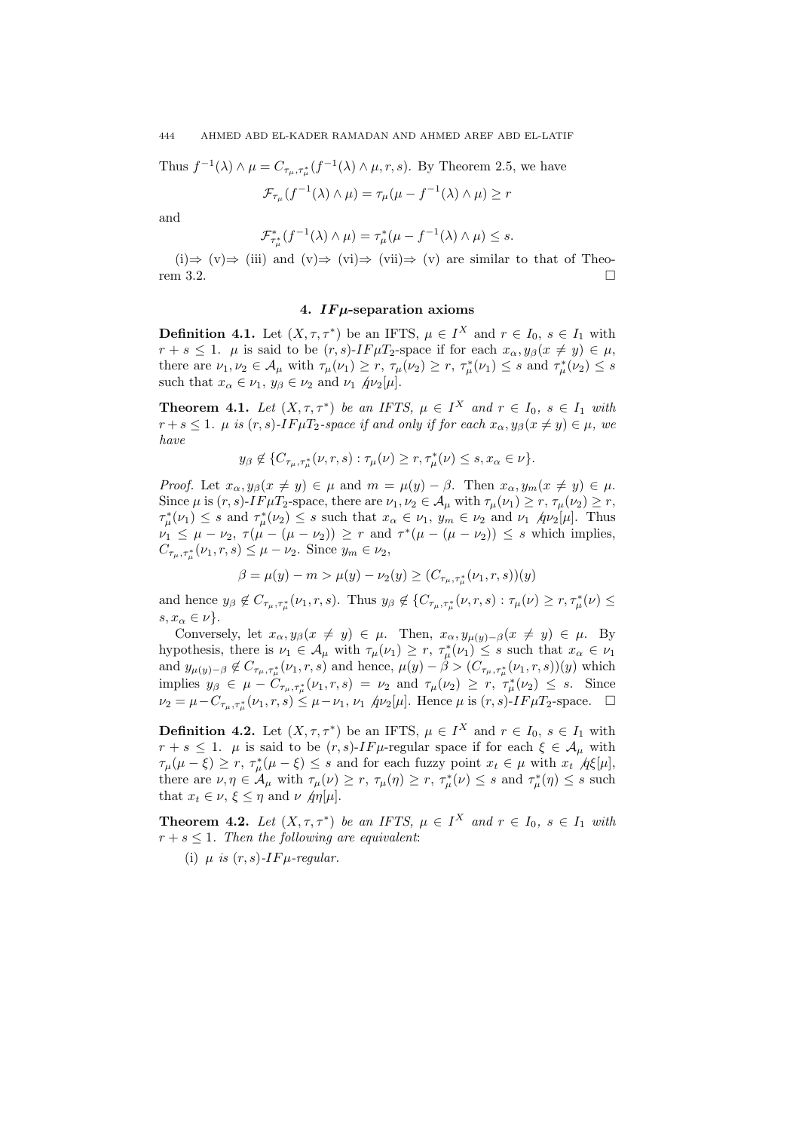Thus 
$$
f^{-1}(\lambda) \wedge \mu = C_{\tau_{\mu}, \tau_{\mu}^*}(f^{-1}(\lambda) \wedge \mu, r, s)
$$
. By Theorem 2.5, we have

$$
\mathcal{F}_{\tau_{\mu}}(f^{-1}(\lambda) \wedge \mu) = \tau_{\mu}(\mu - f^{-1}(\lambda) \wedge \mu) \ge r
$$

and

$$
\mathcal{F}^*_{\tau_\mu^*}(f^{-1}(\lambda)\wedge\mu)=\tau_\mu^*(\mu-f^{-1}(\lambda)\wedge\mu)\leq s.
$$

(i)⇒ (v)⇒ (iii) and (v)⇒ (vi)⇒ (vii)⇒ (v) are similar to that of Theorem 3.2.  $\Box$ 

# 4. IF $\mu$ -separation axioms

**Definition 4.1.** Let  $(X, \tau, \tau^*)$  be an IFTS,  $\mu \in I^X$  and  $r \in I_0$ ,  $s \in I_1$  with  $r + s \leq 1$ .  $\mu$  is said to be  $(r, s)$ -IF $\mu T_2$ -space if for each  $x_\alpha, y_\beta(x \neq y) \in \mu$ , there are  $\nu_1, \nu_2 \in \mathcal{A}_{\mu}$  with  $\tau_{\mu}(\nu_1) \ge r$ ,  $\tau_{\mu}(\nu_2) \ge r$ ,  $\tau_{\mu}^*(\nu_1) \le s$  and  $\tau_{\mu}^*(\nu_2) \le s$ such that  $x_{\alpha} \in \nu_1$ ,  $y_{\beta} \in \nu_2$  and  $\nu_1$   $\hat{\mu}\nu_2[\mu]$ .

**Theorem 4.1.** Let  $(X, \tau, \tau^*)$  be an IFTS,  $\mu \in I^X$  and  $r \in I_0$ ,  $s \in I_1$  with  $r + s \leq 1$ .  $\mu$  is  $(r, s)$ -IF $\mu T_2$ -space if and only if for each  $x_\alpha, y_\beta(x \neq y) \in \mu$ , we have

$$
y_{\beta} \notin \{C_{\tau_{\mu}, \tau_{\mu}^*}(\nu, r, s) : \tau_{\mu}(\nu) \ge r, \tau_{\mu}^*(\nu) \le s, x_{\alpha} \in \nu \}.
$$

*Proof.* Let  $x_{\alpha}, y_{\beta}(x \neq y) \in \mu$  and  $m = \mu(y) - \beta$ . Then  $x_{\alpha}, y_m(x \neq y) \in \mu$ . Since  $\mu$  is  $(r, s)$ -IF $\mu T_2$ -space, there are  $\nu_1, \nu_2 \in A_\mu$  with  $\tau_\mu(\nu_1) \ge r$ ,  $\tau_\mu(\nu_2) \ge r$ ,  $\tau^*_{\mu}(\nu_1) \leq s$  and  $\tau^*_{\mu}(\nu_2) \leq s$  such that  $x_{\alpha} \in \nu_1$ ,  $y_m \in \nu_2$  and  $\nu_1$   $\eta \nu_2[\mu]$ . Thus  $\nu_1 \leq \mu - \nu_2, \ \tau(\mu - (\mu - \nu_2)) \geq r$  and  $\tau^*(\mu - (\mu - \nu_2)) \leq s$  which implies,  $C_{\tau_{\mu}, \tau_{\mu}^{*}}(\nu_{1}, r, s) \leq \mu - \nu_{2}$ . Since  $y_{m} \in \nu_{2}$ ,

$$
\beta = \mu(y) - m > \mu(y) - \nu_2(y) \ge (C_{\tau_{\mu}, \tau_{\mu}^*}(\nu_1, r, s))(y)
$$

and hence  $y_{\beta} \notin C_{\tau_{\mu}, \tau_{\mu}^{*}}(\nu_{1}, r, s)$ . Thus  $y_{\beta} \notin \{C_{\tau_{\mu}, \tau_{\mu}^{*}}(\nu, r, s) : \tau_{\mu}(\nu) \geq r, \tau_{\mu}^{*}(\nu) \leq r \}$  $s, x_{\alpha} \in \nu$ .

Conversely, let  $x_{\alpha}, y_{\beta}(x \neq y) \in \mu$ . Then,  $x_{\alpha}, y_{\mu(y)-\beta}(x \neq y) \in \mu$ . By hypothesis, there is  $\nu_1 \in A_\mu$  with  $\tau_\mu(\nu_1) \geq r$ ,  $\tau_\mu^*(\nu_1) \leq s$  such that  $x_\alpha \in \nu_1$ and  $y_{\mu(y)-\beta} \notin C_{\tau_{\mu},\tau_{\mu}^{*}}(\nu_{1},r,s)$  and hence,  $\mu(y)-\beta > (C_{\tau_{\mu},\tau_{\mu}^{*}}(\nu_{1},r,s))(y)$  which implies  $y_{\beta} \in \mu - C_{\tau_{\mu}, \tau_{\mu}^{*}}(\nu_{1}, r, s) = \nu_{2}$  and  $\tau_{\mu}(\nu_{2}) \geq r, \tau_{\mu}^{*}(\nu_{2}) \leq s$ . Since  $\nu_2 = \mu - C_{\tau_\mu, \tau_\mu^*}(\nu_1, r, s) \leq \mu - \nu_1, \nu_1 \text{ } (\mu_2[\mu] \text{. Hence } \mu \text{ is } (r, s) \text{-} IF \mu T_2 \text{-space. } \square$ 

**Definition 4.2.** Let  $(X, \tau, \tau^*)$  be an IFTS,  $\mu \in I^X$  and  $r \in I_0$ ,  $s \in I_1$  with  $r + s \leq 1$ .  $\mu$  is said to be  $(r, s)$ -*IF* $\mu$ -regular space if for each  $\xi \in A_{\mu}$  with  $\tau_{\mu}(\mu - \xi) \geq r$ ,  $\tau_{\mu}^*(\mu - \xi) \leq s$  and for each fuzzy point  $x_t \in \mu$  with  $x_t \not g \in [\mu]$ , there are  $\nu, \eta \in A_\mu$  with  $\tau_\mu(\nu) \ge r$ ,  $\tau_\mu(\eta) \ge r$ ,  $\tau_\mu^*(\nu) \le s$  and  $\tau_\mu^*(\eta) \le s$  such that  $x_t \in \nu, \xi \leq \eta$  and  $\nu$  *h* $\eta[\mu]$ .

**Theorem 4.2.** Let  $(X, \tau, \tau^*)$  be an IFTS,  $\mu \in I^X$  and  $r \in I_0$ ,  $s \in I_1$  with  $r + s \leq 1$ . Then the following are equivalent:

(i)  $\mu$  is  $(r, s)$ -IF $\mu$ -regular.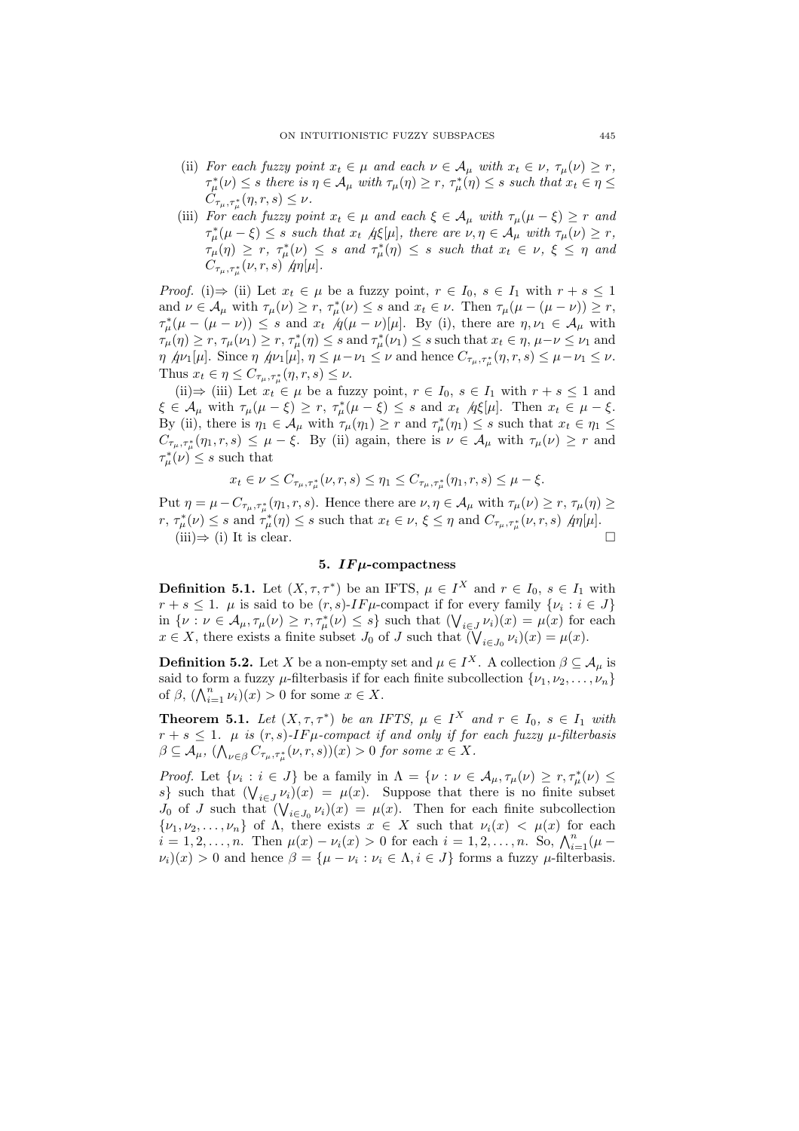- (ii) For each fuzzy point  $x_t \in \mu$  and each  $\nu \in A_\mu$  with  $x_t \in \nu$ ,  $\tau_\mu(\nu) \geq r$ ,  $\tau^*_{\mu}(\nu) \leq s$  there is  $\eta \in A_{\mu}$  with  $\tau_{\mu}(\eta) \geq r$ ,  $\tau^*_{\mu}(\eta) \leq s$  such that  $x_t \in \eta \leq$  $C_{\tau_{\mu},\tau_{\mu}^*}(\eta,r,s) \leq \nu$ .
- (iii) For each fuzzy point  $x_t \in \mu$  and each  $\xi \in \mathcal{A}_{\mu}$  with  $\tau_{\mu}(\mu \xi) \geq r$  and  $\tau_{\mu}^{*}(\mu - \xi) \leq s$  such that  $x_t$   $\pi_{\xi}[\mu]$ , there are  $\nu, \eta \in A_{\mu}$  with  $\tau_{\mu}(\nu) \geq r$ ,  $\tau_{\mu}(\eta) \geq r, \ \tau_{\mu}^*(\nu) \leq s \ \text{and} \ \tau_{\mu}^*(\eta) \leq s \ \text{such that} \ x_t \in \nu, \ \xi \leq \eta \ \text{and}$  $C_{\tau_{\mu},\tau_{\mu}^{*}}(\nu,r,s)$   $\partial_{\eta}[\mu].$

*Proof.* (i)  $\Rightarrow$  (ii) Let  $x_t \in \mu$  be a fuzzy point,  $r \in I_0$ ,  $s \in I_1$  with  $r + s \leq 1$ and  $\nu \in \mathcal{A}_{\mu}$  with  $\tau_{\mu}(\nu) \ge r$ ,  $\tau_{\mu}^*(\nu) \le s$  and  $x_t \in \nu$ . Then  $\tau_{\mu}(\mu - (\mu - \nu)) \ge r$ ,  $\tau^*_{\mu}(\mu - (\mu - \nu)) \leq s$  and  $x_t \not q(\mu - \nu)[\mu]$ . By (i), there are  $\eta, \nu_1 \in \mathcal{A}_{\mu}$  with  $\tau_\mu(\eta) \ge r$ ,  $\tau_\mu(\nu_1) \ge r$ ,  $\tau_\mu^*(\eta) \le s$  and  $\tau_\mu^*(\nu_1) \le s$  such that  $x_t \in \eta$ ,  $\mu-\nu \le \nu_1$  and  $\eta \varphi_1[\mu]$ . Since  $\eta \varphi_1[\mu], \eta \leq \mu - \nu_1 \leq \nu$  and hence  $C_{\tau_\mu, \tau_\mu^*}(\eta, r, s) \leq \mu - \nu_1 \leq \nu$ . Thus  $x_t \in \eta \leq C_{\tau_\mu, \tau_\mu^*}(\eta, r, s) \leq \nu$ .

(ii)⇒ (iii) Let  $x_t \in \mu$  be a fuzzy point,  $r \in I_0$ ,  $s \in I_1$  with  $r + s \leq 1$  and  $\xi \in \mathcal{A}_{\mu}$  with  $\tau_{\mu}(\mu - \xi) \geq r$ ,  $\tau_{\mu}^*(\mu - \xi) \leq s$  and  $x_t$   $\forall t \in \mathcal{A}_{\mu}$ . Then  $x_t \in \mu - \xi$ . By (ii), there is  $\eta_1 \in A_\mu$  with  $\tau_\mu(\eta_1) \ge r$  and  $\tau_\mu^*(\eta_1) \le s$  such that  $x_t \in \eta_1 \le$  $C_{\tau_{\mu},\tau_{\mu}^{*}}(\eta_{1},r,s) \leq \mu - \xi$ . By (ii) again, there is  $\nu \in A_{\mu}$  with  $\tau_{\mu}(\nu) \geq r$  and  $\tau^*_{\mu}(\nu) \leq s$  such that

$$
x_t\in \nu\leq C_{\tau_\mu,\tau_\mu^*}(\nu,r,s)\leq \eta_1\leq C_{\tau_\mu,\tau_\mu^*}(\eta_1,r,s)\leq \mu-\xi.
$$

Put  $\eta = \mu - C_{\tau_{\mu}, \tau_{\mu}^{*}}(\eta_{1}, r, s)$ . Hence there are  $\nu, \eta \in A_{\mu}$  with  $\tau_{\mu}(\nu) \geq r$ ,  $\tau_{\mu}(\eta) \geq 0$  $r, \tau^*_{\mu}(\nu) \leq s$  and  $\tau^*_{\mu}(\eta) \leq s$  such that  $x_t \in \nu, \xi \leq \eta$  and  $C_{\tau_{\mu}, \tau^*_{\mu}}(\nu, r, s)$   $\eta \eta[\mu].$  $(iii) \Rightarrow (i)$  It is clear.

# 5.  $IF\mu$ -compactness

**Definition 5.1.** Let  $(X, \tau, \tau^*)$  be an IFTS,  $\mu \in I^X$  and  $r \in I_0$ ,  $s \in I_1$  with  $r + s \leq 1$ .  $\mu$  is said to be  $(r, s)$ -IF $\mu$ -compact if for every family  $\{\nu_i : i \in J\}$  $r + s \leq 1$ .  $\mu$  is said to be  $(r, s)$ - $1$   $r$   $\mu$ -compact if for every family  $\{\nu : \nu \in A_{\mu}, \tau_{\mu}(\nu) \geq r, \tau_{\mu}^*(\nu) \leq s\}$  such that  $(\bigvee_{i \in J} \nu_i)(x) = \mu(x)$  for each in  $\{v : v \in A_{\mu}, \eta_{\mu}(v) \geq r, \eta_{\mu}(v) \leq s\}$  such that  $(\mathsf{V}_{i \in J} \nu_i)(x) = \mu(x)$  for  $x \in X$ , there exists a finite subset  $J_0$  of  $J$  such that  $(\mathsf{V}_{i \in J_0} \nu_i)(x) = \mu(x)$ .

**Definition 5.2.** Let X be a non-empty set and  $\mu \in I^X$ . A collection  $\beta \subseteq A_{\mu}$  is said to form a fuzzy  $\mu$ -filterbasis if for each finite subcollection  $\{\nu_1, \nu_2, \ldots, \nu_n\}$ said to form a fuzzy  $\mu$ -interbasis if for<br>of  $\beta$ ,  $(\bigwedge_{i=1}^n \nu_i)(x) > 0$  for some  $x \in X$ .

**Theorem 5.1.** Let  $(X, \tau, \tau^*)$  be an IFTS,  $\mu \in I^X$  and  $r \in I_0$ ,  $s \in I_1$  with  $r + s \leq 1$ .  $\mu$  is  $(r, s)$ -IF $\mu$ -compact if and only if for each fuzzy  $\mu$ -filterbasis  $\beta \subseteq \mathcal{A}_{\mu}, \ (\bigwedge_{\nu \in \beta} C_{\tau_{\mu}, \tau_{\mu}^{*}}(\nu, r, s))(x) > 0$  for some  $x \in X$ .

*Proof.* Let  $\{\nu_i : i \in J\}$  be a family in  $\Lambda = \{\nu : \nu \in A_\mu, \tau_\mu(\nu) \geq r, \tau_\mu^*(\nu) \leq \tau\}$ Froot. Let  $\{v_i : i \in J\}$  be a family in  $\Lambda = \{v : v \in A_\mu, \eta_\mu(v) \le \tau, \eta_\mu(v) \le$ <br>s} such that  $(\bigvee_{i \in J} v_i)(x) = \mu(x)$ . Suppose that there is no finite subset by such that  $(\bigvee_{i\in J} \nu_i)(x) = \mu(x)$ . Suppose that there is no limite subset  $J_0$  of J such that  $(\bigvee_{i\in J_0} \nu_i)(x) = \mu(x)$ . Then for each finite subcollection  $\{\nu_1, \nu_2, \ldots, \nu_n\}$  of  $\Lambda$ , there exists  $x \in X$  such that  $\nu_i(x) < \mu(x)$  for each  $i = 1, 2, \ldots, n$ , there exists  $x \in A$  such that  $\nu_i(x) < \mu(x)$  for each  $i = 1, 2, \ldots, n$ . So,  $\bigwedge_{i=1}^{n} (\mu - 1)$  $\nu_i(x) > 0$  and hence  $\beta = {\mu - \nu_i : \nu_i \in \Lambda, i \in J}$  forms a fuzzy  $\mu$ -filterbasis.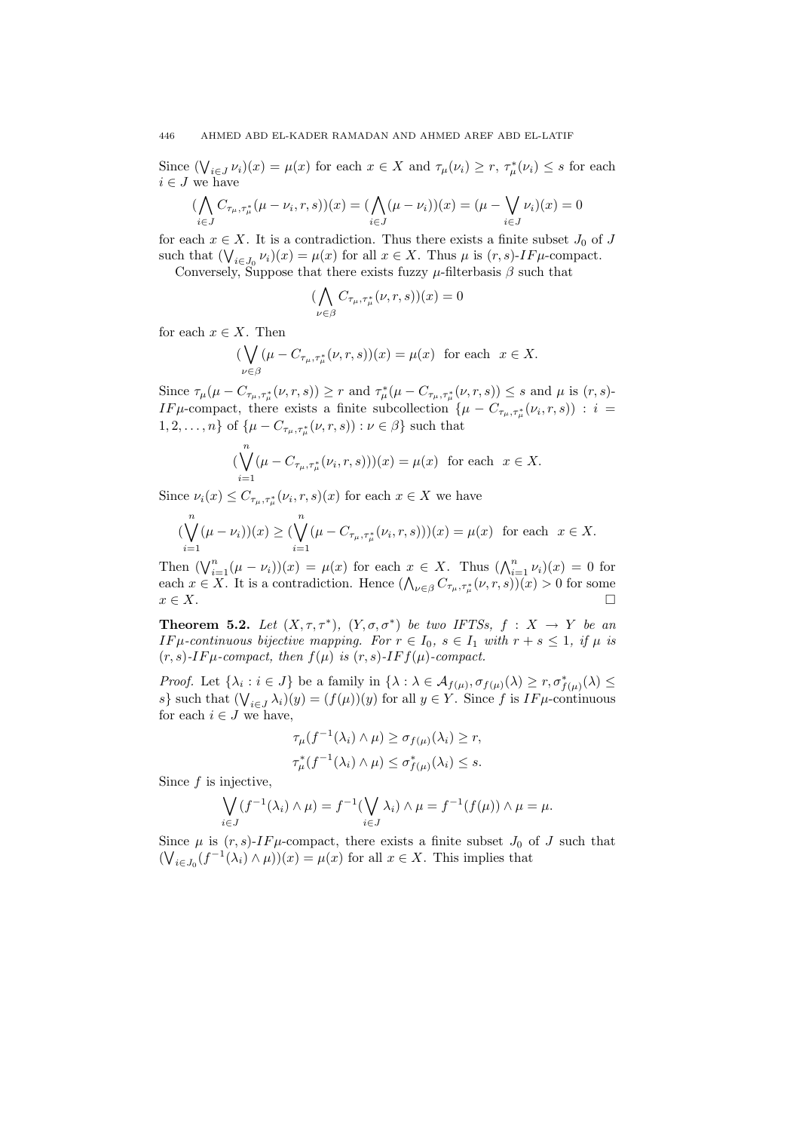Since  $(\bigvee_{i\in J}\nu_i)(x) = \mu(x)$  for each  $x \in X$  and  $\tau_\mu(\nu_i) \ge r$ ,  $\tau_\mu^*(\nu_i) \le s$  for each  $i \in J$  we have  $\overline{a}$ 

$$
(\bigwedge_{i \in J} C_{\tau_{\mu}, \tau_{\mu}^{*}} (\mu - \nu_{i}, r, s))(x) = (\bigwedge_{i \in J} (\mu - \nu_{i}))(x) = (\mu - \bigvee_{i \in J} \nu_{i})(x) = 0
$$

for each  $x \in X$ . It is a contradiction. Thus there exists a finite subset  $J_0$  of J such that  $(\bigvee_{i\in J_0} \nu_i)(x) = \mu(x)$  for all  $x \in X$ . Thus  $\mu$  is  $(r, s)$ -*IF* $\mu$ -compact.

Conversely, Suppose that there exists fuzzy  $\mu$ -filterbasis  $\beta$  such that  $\mathbf{A}$ 

$$
(\bigwedge_{\nu \in \beta} C_{\tau_{\mu}, \tau_{\mu}^*}(\nu, r, s))(x) = 0
$$

for each  $x \in X$ . Then

$$
(\bigvee_{\nu \in \beta} (\mu - C_{\tau_{\mu}, \tau_{\mu}^*}(\nu, r, s))(x) = \mu(x) \text{ for each } x \in X.
$$

Since  $\tau_{\mu}(\mu - C_{\tau_{\mu}, \tau_{\mu}^*}(\nu, r, s)) \geq r$  and  $\tau_{\mu}^*(\mu - C_{\tau_{\mu}, \tau_{\mu}^*}(\nu, r, s)) \leq s$  and  $\mu$  is  $(r, s)$ -IFµ-compact, there exists a finite subcollection  $\{\mu - C_{\tau_{\mu}, \tau_{\mu}^*}(\nu_i, r, s) \}$ :  $i =$  $1, 2, \ldots, n$  of  $\{\mu - C_{\tau_{\mu}, \tau_{\mu}^*}(\nu, r, s) : \nu \in \beta\}$  such that

$$
(\bigvee_{i=1}^{n} (\mu - C_{\tau_{\mu}, \tau_{\mu}^{*}}(\nu_{i}, r, s)))(x) = \mu(x) \text{ for each } x \in X.
$$

Since  $\nu_i(x) \leq C_{\tau_\mu,\tau_\mu^*}(\nu_i,r,s)(x)$  for each  $x \in X$  we have

$$
(\bigvee_{i=1}^{n} (\mu - \nu_{i}))(x) \geq (\bigvee_{i=1}^{n} (\mu - C_{\tau_{\mu}, \tau_{\mu}^{*}}(\nu_{i}, r, s)))(x) = \mu(x) \text{ for each } x \in X.
$$

Then  $(\bigvee_{i=1}^{n} (\mu - \nu_i))(x) = \mu(x)$  for each  $x \in X$ . Thus  $(\bigwedge_{i=1}^{n} \nu_i)(x) = 0$  for Then  $(\mathbf{V}_{i=1}(\mu - \nu_i))(x) = \mu(x)$  for each  $x \in \Lambda$ . Thus  $(\mathbf{V}_{i=1}\nu_i)(x) = 0$  for some each  $x \in X$ . It is a contradiction. Hence  $(\mathbf{V}_{\nu \in \beta} C_{\tau_{\mu}, \tau_{\mu}^*}(\nu, r, s))(x) > 0$  for some  $x \in X$ .

**Theorem 5.2.** Let  $(X, \tau, \tau^*)$ ,  $(Y, \sigma, \sigma^*)$  be two IFTSs,  $f : X \to Y$  be an IF  $\mu$ -continuous bijective mapping. For  $r \in I_0$ ,  $s \in I_1$  with  $r + s \leq 1$ , if  $\mu$  is  $(r, s)$ -IF $\mu$ -compact, then  $f(\mu)$  is  $(r, s)$ -IF $f(\mu)$ -compact.

Proof. Let  $\{\lambda_i : i \in J\}$  be a family in  $\{\lambda : \lambda \in \mathcal{A}_{f(\mu)}, \sigma_{f(\mu)}(\lambda) \geq r, \sigma_{f(\mu)}^*(\lambda) \leq 0\}$ s} such that  $(\bigvee_{i\in J}\lambda_i)(y) = (f(\mu))(y)$  for all  $y \in Y$ . Since f is  $IF\mu$ -continuous for each  $i \in J$  we have,

$$
\tau_{\mu}(f^{-1}(\lambda_i) \wedge \mu) \ge \sigma_{f(\mu)}(\lambda_i) \ge r,
$$
  

$$
\tau_{\mu}^*(f^{-1}(\lambda_i) \wedge \mu) \le \sigma_{f(\mu)}^*(\lambda_i) \le s.
$$

Since  $f$  is injective,

$$
\bigvee_{i\in J} (f^{-1}(\lambda_i)\wedge\mu)=f^{-1}(\bigvee_{i\in J}\lambda_i)\wedge\mu=f^{-1}(f(\mu))\wedge\mu=\mu.
$$

Since  $\mu$  is  $(r, s)$ -IF $\mu$ -compact, there exists a finite subset  $J_0$  of  $J$  such that  $(\bigvee_{i\in J_0} (f^{-1}(\lambda_i)\wedge \mu))(x) = \mu(x)$  for all  $x \in X$ . This implies that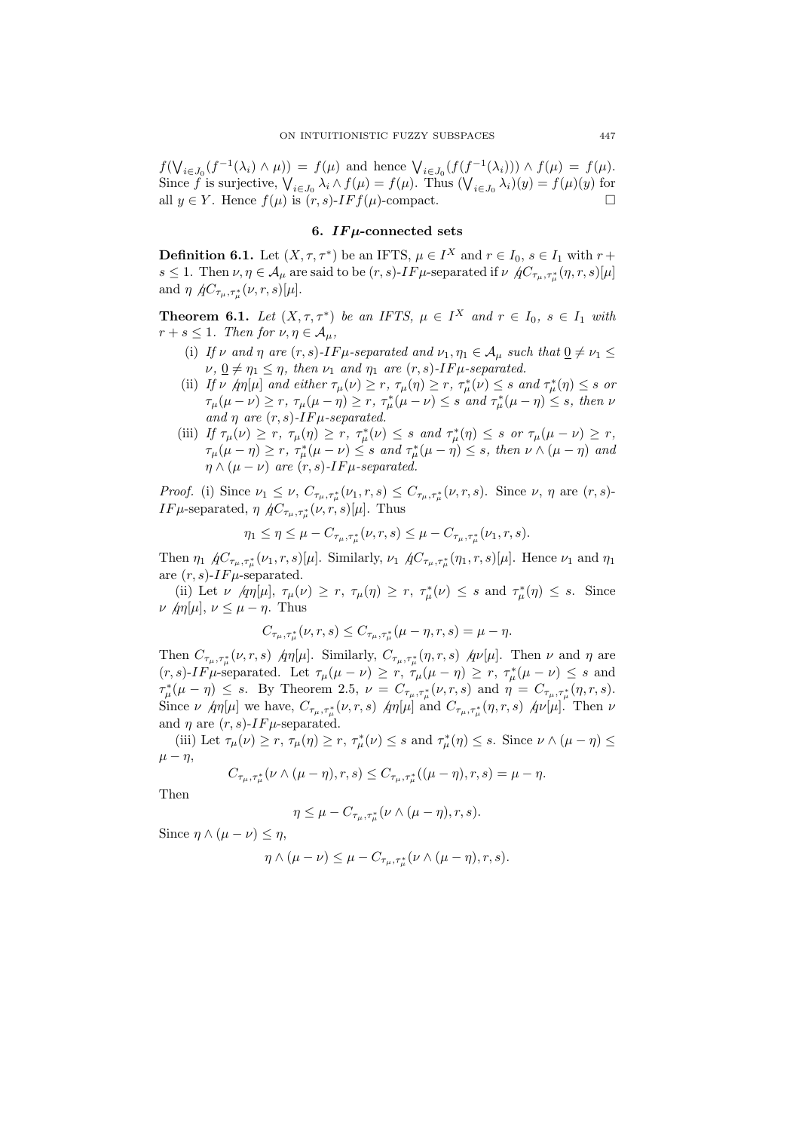$f(\bigvee$  $i\in J_0(f^{-1}(\lambda_i) \wedge \mu)) = f(\mu)$  and hence  $\bigvee_{i \in J_0}(f(f^{-1}(\lambda_i))) \wedge f(\mu) = f(\mu)$ .  $\mathcal{S}(\mathbf{V}) = \int_{\mathcal{A}} (\mathcal{A}_i) \wedge (\mathcal{A}_i) \wedge (\mathcal{A}_i) = \int_{\mathcal{A}} (\mathcal{A}_i) \wedge (\mathcal{A}_i) \wedge (\mathcal{A}_i) = \int_{\mathcal{A}} (\mathcal{A}_i) \wedge (\mathcal{A}_i) = \int_{\mathcal{A}} (\mathcal{A}_i) \wedge (\mathcal{A}_i) = \int_{\mathcal{A}} (\mathcal{A}_i) \wedge (\mathcal{A}_i) = \int_{\mathcal{A}} (\mathcal{A}_i) \wedge (\mathcal{A}_i) \wedge (\mathcal{A}_i) =$ all  $y \in Y$ . Hence  $f(\mu)$  is  $(r, s)$ -*IF*  $f(\mu)$ -compact.

## 6.  $IFu$ -connected sets

**Definition 6.1.** Let  $(X, \tau, \tau^*)$  be an IFTS,  $\mu \in I^X$  and  $r \in I_0$ ,  $s \in I_1$  with  $r +$  $s \leq 1$ . Then  $\nu, \eta \in A_\mu$  are said to be  $(r, s)$ -IF  $\mu$ -separated if  $\nu \not|_{\mathcal{H}_{\tau_\mu, \tau_\mu^*}} (\eta, r, s)[\mu]$ and  $\eta \not{AC}_{\tau_\mu,\tau_\mu^*}(\nu,r,s)[\mu].$ 

**Theorem 6.1.** Let  $(X, \tau, \tau^*)$  be an IFTS,  $\mu \in I^X$  and  $r \in I_0$ ,  $s \in I_1$  with  $r + s \leq 1$ . Then for  $\nu, \eta \in A_{\mu}$ ,

- (i) If v and  $\eta$  are  $(r, s)$ -IF  $\mu$ -separated and  $\nu_1, \eta_1 \in A_\mu$  such that  $\underline{0} \neq \nu_1 \leq$  $\nu, \underline{0} \neq \eta_1 \leq \eta$ , then  $\nu_1$  and  $\eta_1$  are  $(r, s)$ -IF $\mu$ -separated.
- (ii) If  $\nu \not| \eta$ [ $\mu$ ] and either  $\tau_{\mu}(\nu) \ge r$ ,  $\tau_{\mu}(\eta) \ge r$ ,  $\tau_{\mu}^*(\nu) \le s$  and  $\tau_{\mu}^*(\eta) \le s$  or  $\tau_{\mu}(\mu-\nu) \geq r$ ,  $\tau_{\mu}(\mu-\eta) \geq r$ ,  $\tau_{\mu}^*(\mu-\nu) \leq s$  and  $\tau_{\mu}^*(\mu-\eta) \leq s$ , then  $\nu$ and  $\eta$  are  $(r, s)$ -IF $\mu$ -separated.
- (iii) If  $\tau_{\mu}(\nu) \geq r$ ,  $\tau_{\mu}(\eta) \geq r$ ,  $\tau_{\mu}^*(\nu) \leq s$  and  $\tau_{\mu}^*(\eta) \leq s$  or  $\tau_{\mu}(\mu \nu) \geq r$ ,  $\tau_\mu(\mu-\eta) \geq r$ ,  $\tau_\mu^*(\mu-\nu) \leq s$  and  $\tau_\mu^*(\mu-\eta) \leq s$ , then  $\nu \wedge (\mu-\eta)$  and  $\eta \wedge (\mu - \nu)$  are  $(r, s)$ -IF $\mu$ -separated.

Proof. (i) Since  $\nu_1 \leq \nu$ ,  $C_{\tau_\mu,\tau_\mu^*}(\nu_1,r,s) \leq C_{\tau_\mu,\tau_\mu^*}(\nu,r,s)$ . Since  $\nu$ ,  $\eta$  are  $(r,s)$ -IF  $\mu$ -separated,  $\eta \not{AC}_{\tau_{\mu}, \tau_{\mu}^{*}}(\nu, r, s)[\mu]$ . Thus

$$
\eta_1 \le \eta \le \mu - C_{\tau_{\mu}, \tau_{\mu}^*}(\nu, r, s) \le \mu - C_{\tau_{\mu}, \tau_{\mu}^*}(\nu_1, r, s).
$$

Then  $\eta_1$   $\hat{A}C_{\tau_\mu,\tau_\mu^*}(\nu_1,r,s)[\mu]$ . Similarly,  $\nu_1$   $\hat{A}C_{\tau_\mu,\tau_\mu^*}(\eta_1,r,s)[\mu]$ . Hence  $\nu_1$  and  $\eta_1$ are  $(r, s)$ -IF $\mu$ -separated.

(ii) Let  $\nu$  /qn[ $\mu$ ],  $\tau_{\mu}(\nu) \geq r$ ,  $\tau_{\mu}(\eta) \geq r$ ,  $\tau_{\mu}^*(\nu) \leq s$  and  $\tau_{\mu}^*(\eta) \leq s$ . Since  $\nu \not\!\!{\scriptstyle |\,\,}\eta[\mu], \nu \leq \mu - \eta.$  Thus

$$
C_{\tau_{\mu},\tau_{\mu}^*}(\nu,r,s) \leq C_{\tau_{\mu},\tau_{\mu}^*}(\mu-\eta,r,s) = \mu - \eta.
$$

Then  $C_{\tau_{\mu},\tau_{\mu}^{*}}(\nu,r,s)$  /qn[ $\mu$ ]. Similarly,  $C_{\tau_{\mu},\tau_{\mu}^{*}}(\eta,r,s)$  /q $\nu[\mu]$ . Then  $\nu$  and  $\eta$  are  $(r, s)$ -IF $\mu$ -separated. Let  $\tau_{\mu}(\mu - \nu) \geq r$ ,  $\tau_{\mu}(\mu - \eta) \geq r$ ,  $\tau_{\mu}^*(\mu - \nu) \leq s$  and  $\tau^*_{\mu}(\mu - \eta) \leq s$ . By Theorem 2.5,  $\nu = C_{\tau_{\mu}, \tau^*_{\mu}}(\nu, r, s)$  and  $\eta = C_{\tau_{\mu}, \tau^*_{\mu}}(\eta, r, s)$ . Since  $\nu$  *h* $\eta[\mu]$  we have,  $C_{\tau_{\mu},\tau_{\mu}^{*}}(\nu,r,s)$  *h* $\eta[\mu]$  and  $C_{\tau_{\mu},\tau_{\mu}^{*}}(\eta,r,s)$  *h* $\nu[\mu]$ . Then  $\nu$ and  $\eta$  are  $(r, s)$ - $IF\mu$ -separated.

(iii) Let  $\tau_{\mu}(\nu) \ge r$ ,  $\tau_{\mu}(\eta) \ge r$ ,  $\tau_{\mu}^*(\nu) \le s$  and  $\tau_{\mu}^*(\eta) \le s$ . Since  $\nu \wedge (\mu - \eta) \le$  $\mu - \eta$ ,

$$
C_{\tau_{\mu},\tau_{\mu}^{*}}(\nu \wedge (\mu - \eta), r, s) \leq C_{\tau_{\mu},\tau_{\mu}^{*}}((\mu - \eta), r, s) = \mu - \eta.
$$

Then

$$
\eta \leq \mu - C_{\tau_{\mu}, \tau_{\mu}^*}(\nu \wedge (\mu - \eta), r, s).
$$

Since  $\eta \wedge (\mu - \nu) \leq \eta$ ,

$$
\eta \wedge (\mu - \nu) \leq \mu - C_{\tau_{\mu}, \tau_{\mu}^*}(\nu \wedge (\mu - \eta), r, s).
$$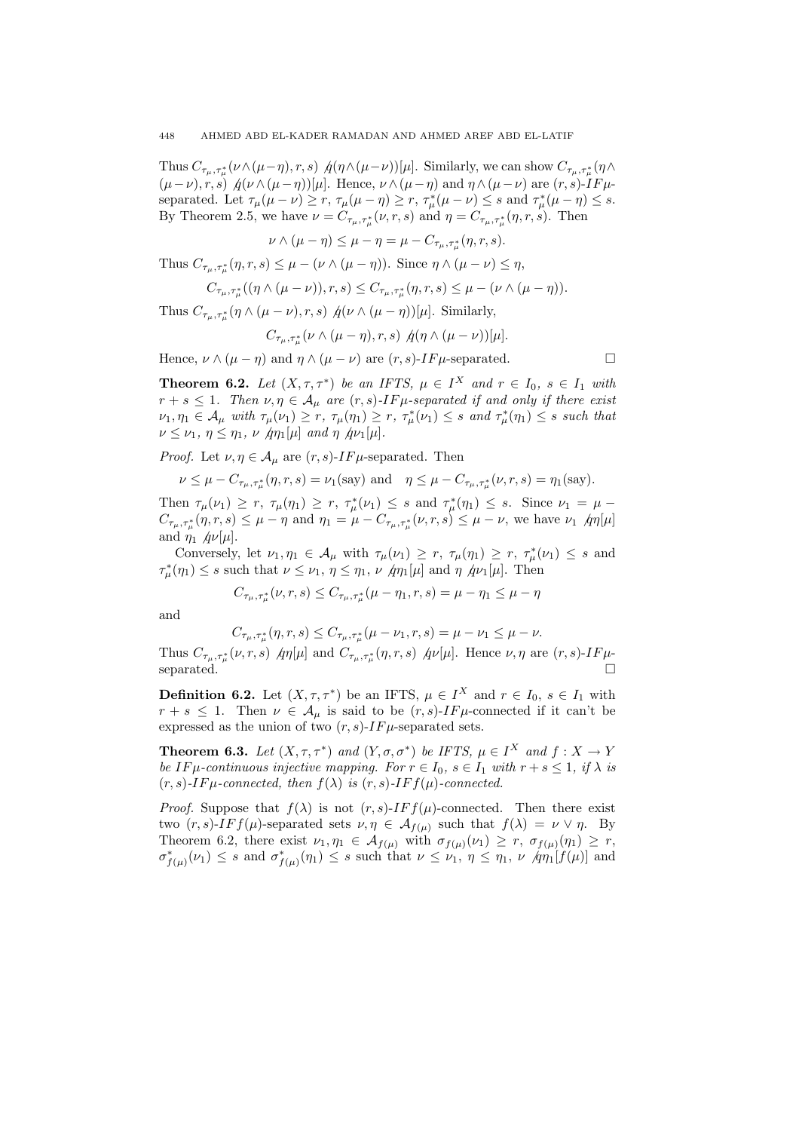Thus  $C_{\tau_\mu,\tau_\mu^*}(\nu \wedge (\mu - \eta),r,s)$   $\oint (\eta \wedge (\mu - \nu))[\mu]$ . Similarly, we can show  $C_{\tau_\mu,\tau_\mu^*}(\eta \wedge$  $(\mu-\nu), r, s)$   $\oint$   $(\nu \wedge (\mu-\eta))[\mu]$ . Hence,  $\nu \wedge (\mu-\eta)$  and  $\eta \wedge (\mu-\nu)$  are  $(r, s)$ -IF $\mu$ separated. Let  $\tau_{\mu}(\mu - \nu) \ge r$ ,  $\tau_{\mu}(\mu - \eta) \ge r$ ,  $\tau_{\mu}^*(\mu - \nu) \le s$  and  $\tau_{\mu}^*(\mu - \eta) \le s$ . By Theorem 2.5, we have  $\nu = C_{\tau_\mu,\tau_\mu^*}(\nu,r,s)$  and  $\eta = C_{\tau_\mu,\tau_\mu^*}(\eta,r,s)$ . Then

 $\nu \wedge (\mu - \eta) \leq \mu - \eta = \mu - C_{\tau_{\mu}, \tau_{\mu}^{*}}(\eta, r, s).$ 

Thus  $C_{\tau_{\mu}, \tau_{\mu}^{*}}(\eta, r, s) \leq \mu - (\nu \wedge (\mu - \eta))$ . Since  $\eta \wedge (\mu - \nu) \leq \eta$ ,

$$
C_{\tau_{\mu},\tau_{\mu}^*}((\eta \wedge (\mu - \nu)),r,s) \leq C_{\tau_{\mu},\tau_{\mu}^*}(\eta,r,s) \leq \mu - (\nu \wedge (\mu - \eta)).
$$

Thus  $C_{\tau_{\mu}, \tau_{\mu}^{*}}(\eta \wedge (\mu - \nu), r, s) \nightharpoondown \eta(\nu \wedge (\mu - \eta))[\mu].$  Similarly,

$$
C_{\tau_{\mu},\tau_{\mu}^*}(\nu \wedge (\mu - \eta),r,s) \varphi(\eta \wedge (\mu - \nu))[\mu].
$$

Hence,  $\nu \wedge (\mu - \eta)$  and  $\eta \wedge (\mu - \nu)$  are  $(r, s)$ -IF $\mu$ -separated.

**Theorem 6.2.** Let  $(X, \tau, \tau^*)$  be an IFTS,  $\mu \in I^X$  and  $r \in I_0$ ,  $s \in I_1$  with  $r + s \leq 1$ . Then  $\nu, \eta \in A_{\mu}$  are  $(r, s)$ -IF $\mu$ -separated if and only if there exist  $\nu_1, \eta_1 \in \mathcal{A}_{\mu}$  with  $\tau_{\mu}(\nu_1) \geq r$ ,  $\tau_{\mu}(\eta_1) \geq r$ ,  $\tau_{\mu}^*(\nu_1) \leq s$  and  $\tau_{\mu}^*(\eta_1) \leq s$  such that  $\nu \leq \nu_1, \eta \leq \eta_1, \nu \not| \eta_1[\mu]$  and  $\eta \not| \eta_1[\mu]$ .

*Proof.* Let  $\nu, \eta \in A_\mu$  are  $(r, s)$ -IF $\mu$ -separated. Then

$$
\nu \le \mu - C_{\tau_{\mu}, \tau_{\mu}^{*}}(\eta, r, s) = \nu_{1}(\text{say}) \text{ and } \eta \le \mu - C_{\tau_{\mu}, \tau_{\mu}^{*}}(\nu, r, s) = \eta_{1}(\text{say}).
$$

Then  $\tau_{\mu}(\nu_1) \ge r$ ,  $\tau_{\mu}(\eta_1) \ge r$ ,  $\tau_{\mu}^*(\nu_1) \le s$  and  $\tau_{\mu}^*(\eta_1) \le s$ . Since  $\nu_1 = \mu$  $C_{\tau_{\mu},\tau_{\mu}^{*}}(\eta,r,s) \leq \mu - \eta$  and  $\eta_1 = \mu - C_{\tau_{\mu},\tau_{\mu}^{*}}(\nu,r,s) \leq \mu - \nu$ , we have  $\nu_1 \varphi \eta[\mu]$ and  $\eta_1$   $\phi\nu[\mu]$ .

Conversely, let  $\nu_1, \eta_1 \in \mathcal{A}_{\mu}$  with  $\tau_{\mu}(\nu_1) \geq r$ ,  $\tau_{\mu}(\eta_1) \geq r$ ,  $\tau_{\mu}^*(\nu_1) \leq s$  and  $\tau^*_{\mu}(\eta_1) \leq s$  such that  $\nu \leq \nu_1, \eta \leq \eta_1, \nu \not\equiv \eta_1[\mu]$  and  $\eta \not\equiv \eta_2[\mu]$ . Then

$$
C_{\tau_\mu,\tau_\mu^*}(\nu,r,s)\leq C_{\tau_\mu,\tau_\mu^*}(\mu-\eta_1,r,s)=\mu-\eta_1\leq \mu-\eta
$$

and

$$
C_{\tau_{\mu},\tau_{\mu}^{*}}(\eta,r,s) \leq C_{\tau_{\mu},\tau_{\mu}^{*}}(\mu-\nu_{1},r,s) = \mu - \nu_{1} \leq \mu - \nu.
$$

Thus  $C_{\tau_{\mu},\tau_{\mu}^{*}}(\nu,r,s)$   $\eta\eta[\mu]$  and  $C_{\tau_{\mu},\tau_{\mu}^{*}}(\eta,r,s)$   $\eta\nu[\mu]$ . Hence  $\nu,\eta$  are  $(r,s)$ -IF $\mu$ separated.  $\Box$ 

**Definition 6.2.** Let  $(X, \tau, \tau^*)$  be an IFTS,  $\mu \in I^X$  and  $r \in I_0$ ,  $s \in I_1$  with  $r + s \leq 1$ . Then  $\nu \in A_\mu$  is said to be  $(r, s)$ -IF $\mu$ -connected if it can't be expressed as the union of two  $(r, s)$ -IF $\mu$ -separated sets.

**Theorem 6.3.** Let  $(X, \tau, \tau^*)$  and  $(Y, \sigma, \sigma^*)$  be IFTS,  $\mu \in I^X$  and  $f: X \to Y$ be IF  $\mu$ -continuous injective mapping. For  $r \in I_0$ ,  $s \in I_1$  with  $r + s \leq 1$ , if  $\lambda$  is  $(r, s)$ -IF $\mu$ -connected, then  $f(\lambda)$  is  $(r, s)$ -IF $f(\mu)$ -connected.

*Proof.* Suppose that  $f(\lambda)$  is not  $(r, s)$ -*IF f(µ)*-connected. Then there exist two  $(r, s)$ -IF  $f(\mu)$ -separated sets  $\nu, \eta \in A_{f(\mu)}$  such that  $f(\lambda) = \nu \vee \eta$ . By Theorem 6.2, there exist  $\nu_1, \eta_1 \in \mathcal{A}_{f(\mu)}$  with  $\sigma_{f(\mu)}(\nu_1) \geq r$ ,  $\sigma_{f(\mu)}(\eta_1) \geq r$ ,  $\sigma^*_{f(\mu)}(\nu_1) \leq s$  and  $\sigma^*_{f(\mu)}(\eta_1) \leq s$  such that  $\nu \leq \nu_1$ ,  $\eta \leq \eta_1$ ,  $\nu \varphi[\eta_1(f(\mu))]$  and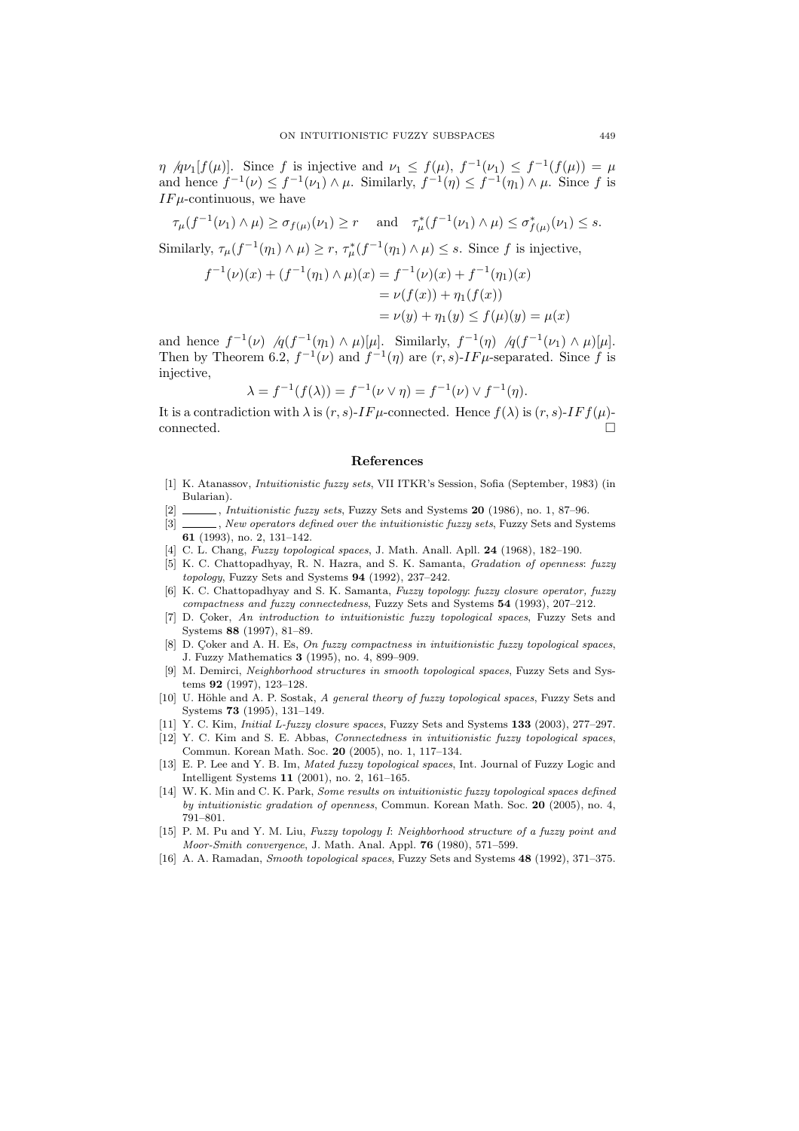$\eta$  /qv<sub>1</sub>[f( $\mu$ )]. Since f is injective and  $\nu_1 \leq f(\mu)$ ,  $f^{-1}(\nu_1) \leq f^{-1}(f(\mu)) = \mu$ and hence  $f^{-1}(\nu) \leq f^{-1}(\nu_1) \wedge \mu$ . Similarly,  $f^{-1}(\eta) \leq f^{-1}(\eta_1) \wedge \mu$ . Since f is  $IF\mu$ -continuous, we have

$$
\tau_{\mu}(f^{-1}(\nu_1) \wedge \mu) \ge \sigma_{f(\mu)}(\nu_1) \ge r \quad \text{ and} \quad \tau_{\mu}^*(f^{-1}(\nu_1) \wedge \mu) \le \sigma_{f(\mu)}^*(\nu_1) \le s.
$$

Similarly,  $\tau_{\mu}(f^{-1}(\eta_1) \wedge \mu) \geq r$ ,  $\tau_{\mu}^*(f^{-1}(\eta_1) \wedge \mu) \leq s$ . Since f is injective,

$$
f^{-1}(\nu)(x) + (f^{-1}(\eta_1) \wedge \mu)(x) = f^{-1}(\nu)(x) + f^{-1}(\eta_1)(x)
$$
  
=  $\nu(f(x)) + \eta_1(f(x))$   
=  $\nu(y) + \eta_1(y) \le f(\mu)(y) = \mu(x)$ 

and hence  $f^{-1}(\nu)$   $/q(f^{-1}(\eta_1) \wedge \mu)[\mu]$ . Similarly,  $f^{-1}(\eta)$   $/q(f^{-1}(\nu_1) \wedge \mu)[\mu]$ . Then by Theorem 6.2,  $f^{-1}(\nu)$  and  $f^{-1}(\eta)$  are  $(r, s)$ -IF $\mu$ -separated. Since f is injective,

$$
\lambda = f^{-1}(f(\lambda)) = f^{-1}(\nu \vee \eta) = f^{-1}(\nu) \vee f^{-1}(\eta).
$$

It is a contradiction with  $\lambda$  is  $(r, s)$ -IF  $\mu$ -connected. Hence  $f(\lambda)$  is  $(r, s)$ -IF  $f(\mu)$ - $\Box$  connected.  $\Box$ 

#### References

- [1] K. Atanassov, Intuitionistic fuzzy sets, VII ITKR's Session, Sofia (September, 1983) (in Bularian).
- $[2]$  , Intuitionistic fuzzy sets, Fuzzy Sets and Systems 20 (1986), no. 1, 87–96.
- [3]  $\_\_\_\_\_\$ , New operators defined over the intuitionistic fuzzy sets, Fuzzy Sets and Systems 61 (1993), no. 2, 131–142.
- [4] C. L. Chang, Fuzzy topological spaces, J. Math. Anall. Apll. 24 (1968), 182-190.
- [5] K. C. Chattopadhyay, R. N. Hazra, and S. K. Samanta, Gradation of openness: fuzzy topology, Fuzzy Sets and Systems 94 (1992), 237–242.
- [6] K. C. Chattopadhyay and S. K. Samanta, Fuzzy topology: fuzzy closure operator, fuzzy compactness and fuzzy connectedness, Fuzzy Sets and Systems 54 (1993), 207–212.
- [7] D. Çoker, An introduction to intuitionistic fuzzy topological spaces, Fuzzy Sets and Systems 88 (1997), 81–89.
- [8] D. Çoker and A. H. Es, On fuzzy compactness in intuitionistic fuzzy topological spaces, J. Fuzzy Mathematics 3 (1995), no. 4, 899–909.
- [9] M. Demirci, Neighborhood structures in smooth topological spaces, Fuzzy Sets and Systems 92 (1997), 123–128.
- [10] U. Höhle and A. P. Sostak, A general theory of fuzzy topological spaces, Fuzzy Sets and Systems 73 (1995), 131–149.
- [11] Y. C. Kim, *Initial L-fuzzy closure spaces*, Fuzzy Sets and Systems 133 (2003), 277–297.
- [12] Y. C. Kim and S. E. Abbas, Connectedness in intuitionistic fuzzy topological spaces, Commun. Korean Math. Soc. 20 (2005), no. 1, 117–134.
- [13] E. P. Lee and Y. B. Im, Mated fuzzy topological spaces, Int. Journal of Fuzzy Logic and Intelligent Systems 11 (2001), no. 2, 161–165.
- [14] W. K. Min and C. K. Park, Some results on intuitionistic fuzzy topological spaces defined by intuitionistic gradation of openness, Commun. Korean Math. Soc. 20 (2005), no. 4, 791–801.
- [15] P. M. Pu and Y. M. Liu, Fuzzy topology I: Neighborhood structure of a fuzzy point and Moor-Smith convergence, J. Math. Anal. Appl. 76 (1980), 571–599.
- [16] A. A. Ramadan, Smooth topological spaces, Fuzzy Sets and Systems 48 (1992), 371–375.